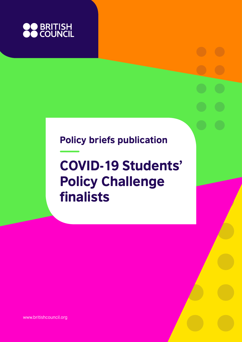

# Policy briefs publication

# COVID-19 Students' Policy Challenge finalists

www.britishcouncil.org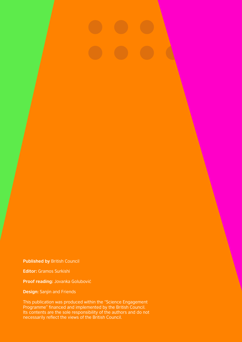**Published by** British Council

**Editor:** Gramos Surkishi

**Proof reading:** Jovanka Golubović

**Design:** Sanjin and Friends

This publication was produced within the "Science Engagement Programme" financed and implemented by the British Council. Its contents are the sole responsibility of the authors and do not necessarily reflect the views of the British Council.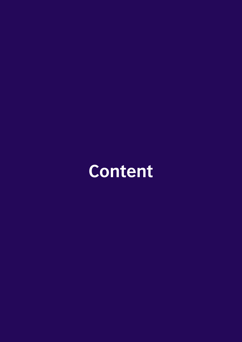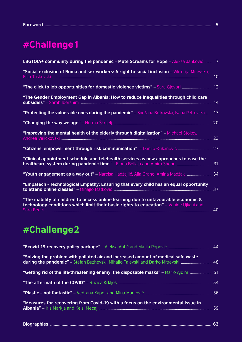|  | - - |
|--|-----|
|--|-----|

# #Challenge1

| LBGTQIA+ community during the pandemic - Mute Screams for Hope - Aleksa Janković  7                                                                                           |    |
|-------------------------------------------------------------------------------------------------------------------------------------------------------------------------------|----|
| "Social exclusion of Roma and sex workers: A right to social inclusion - Viktorija Mitevska,                                                                                  | 10 |
| "The click to job opportunities for domestic violence victims" - Sara Gjevori  12                                                                                             |    |
| "The Gender Employment Gap in Albania: How to reduce inequalities through child care                                                                                          | 14 |
| "Protecting the vulnerable ones during the pandemic" - Snežana Bojkovska, Ivana Petrovska                                                                                     | 17 |
|                                                                                                                                                                               |    |
| "Improving the mental health of the elderly through digitalization" - Michael Stokey,                                                                                         |    |
|                                                                                                                                                                               |    |
| "Clinical appointment schedule and telehealth services as new approaches to ease the                                                                                          |    |
| "Youth engagement as a way out" - Narcisa Hadžajlić, Ajla Graho, Amina Madžak  34                                                                                             |    |
| "Empatech - Technological Empathy: Ensuring that every child has an equal opportunity                                                                                         |    |
| "The inability of children to access online learning due to unfavourable economic &<br>technology conditions which limit their basic rights to education" - Vahide Ujkani and |    |

# #Challenge2

| "Solving the problem with polluted air and increased amount of medical safe waste<br>during the pandemic" - Stefan Buzhevski, Mihajlo Talevski and Darko Mitrevski  48 |  |
|------------------------------------------------------------------------------------------------------------------------------------------------------------------------|--|
| "Getting rid of the life-threatening enemy: the disposable masks" – Mario Ajdini  51                                                                                   |  |
|                                                                                                                                                                        |  |
|                                                                                                                                                                        |  |
| "Measures for recovering from Covid-19 with a focus on the environmental issue in                                                                                      |  |

|--|--|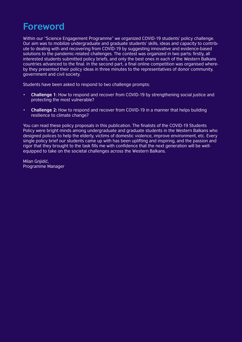# **Foreword**

Within our "Science Engagement Programme" we organized COVID-19 students' policy challenge. Our aim was to mobilize undergraduate and graduate students' skills, ideas and capacity to contribute to dealing with and recovering from COVID-19 by suggesting innovative and evidence-based solutions to the pandemic-related challenges. The contest was organized in two parts: firstly, all interested students submitted policy briefs, and only the best ones in each of the Western Balkans countries advanced to the final. In the second part, a final online competition was organised whereby they presented their policy ideas in three minutes to the representatives of donor community, government and civil society.

Students have been asked to respond to two challenge prompts:

- **Challenge 1**: How to respond and recover from COVID-19 by strengthening social justice and protecting the most vulnerable?
- **Challenge 2:** How to respond and recover from COVID-19 in a manner that helps building resilience to climate change?

You can read these policy proposals in this publication. The finalists of the COVID-19 Students Policy were bright minds among undergraduate and graduate students in the Western Balkans who designed polices to help the elderly, victims of domestic violence, improve environment, etc. Every single policy brief our students came up with has been uplifting and inspiring, and the passion and rigor that they brought to the task fills me with confidence that the next generation will be wellequipped to take on the societal challenges across the Western Balkans.

Milan Gnjidić, Programme Manager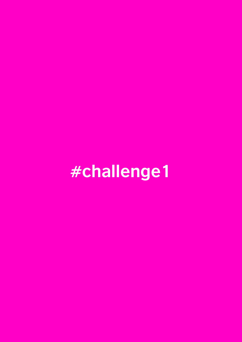# **#challenge1**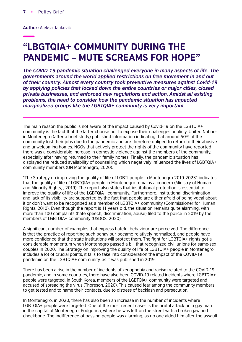**Author:** Aleksa Janković

# "LBGTQIA+ COMMUNITY DURING THE PANDEMIC – MUTE SCREAMS FOR HOPE"

*The COVID-19 pandemic situation challenged everyone in many aspects of life. The governments around the world applied restrictions on free movement in and out of their country. Almost every country took preventive measures against Covid-19 by applying policies that locked down the entire countries or major cities, closed private businesses, and enforced new regulations and action. Amidst all existing problems, the need to consider how the pandemic situation has impacted marginalized groups like the LGBTQIA+ community is very important.*

The main reason the public is not aware of the impact caused by Covid-19 on the LGBTQIA+ community is the fact that the latter choose not to expose their challenges publicly. United Nations in Montenegro (after a brief study) published information indicating that around 50% of the community lost their jobs due to the pandemic and are therefore obliged to return to their abusive and unwelcoming homes. NGOs that actively protect the rights of the community have reported there was a considerable increase in domestic violence against the members of the community, especially after having returned to their family homes. Finally, the pandemic situation has displayed the reduced availability of counselling which negatively influenced the lives of LGBTQIA+ community members (UN Montenegro, 2020).

"The Strategy on improving the quality of life of LGBTI people in Montenegro 2019-2023" indicates that the quality of life of LGBTQIA+ people in Montenegro remains a concern (Ministry of Human and Minority Rights, , 2019). The report also states that institutional protection is essential to improve the quality of life of the LGBTQIA+ community. Furthermore, institutional discrimination and lack of its visibility are supported by the fact that people are either afraid of being vocal about it or don't want to be recognized as a member of LGBTQIA+ community (Commissioner for Human Rights, 2010). Even though the report is 11 years old, the situation remains quite alarming, with more than 100 complaints (hate speech, discrimination, abuse) filed to the police in 2019 by the members of LGBTQIA+ community (USDOS, 2020).

A significant number of examples that express hateful behaviour are perceived. The difference is that the practice of reporting such behaviour became relatively normalized, and people have more confidence that the state institutions will protect them. The fight for LGBTQIA+ rights got a considerable momentum when Montenegro passed a bill that recognized civil unions for same-sex couples in 2020. The Strategy on improving the quality of life of LGBTQIA+ people in Montenegro includes a lot of crucial points, it fails to take into consideration the impact of the COVID-19 pandemic on the LGBTQIA+ community, as it was published in 2019.

There has been a rise in the number of incidents of xenophobia and racism related to the COVID-19 pandemic, and in some countries, there have also been COVID-19 related incidents where LGBTQIA+ people were targeted. In South Korea, members of the LGBTQIA+ community were targeted and accused of spreading the virus (Thoreson, 2020). This caused fear among the community members to get tested and to name their contacts, due to distress of backlash and persecution.

In Montenegro, in 2020, there has also been an increase in the number of incidents where LGBTQIA+ people were targeted. One of the most recent cases is the brutal attack on a gay man in the capital of Montenegro, Podgorica, where he was left on the street with a broken jaw and cheekbone. The indifference of passing people was alarming, as no one aided him after the assault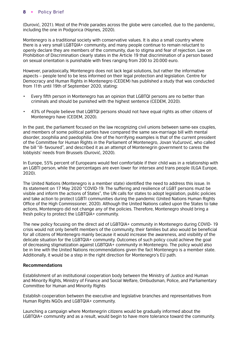(Durović, 2021). Most of the Pride parades across the globe were cancelled, due to the pandemic, including the one in Podgorica (Haynes, 2020).

Montenegro is a traditional society with conservative values. It is also a small country where there is a very small LGBTQIA+ community, and many people continue to remain reluctant to openly declare they are members of the community, due to stigma and fear of rejection. Law on Prohibition of Discrimination clearly states in the Article 19 that discrimination of a person based on sexual orientation is punishable with fines ranging from 200 to 20.000 euro.

However, paradoxically, Montenegro does not lack legal solutions, but rather the informative aspects – people tend to be less informed on their legal protection and legislation. Centre for Democracy and Human Rights in Montenegro (CEDEM) has published a study that was conducted from 11th until 19th of September 2020, stating:

- Every fifth person in Montenegro has an opinion that LGBTQI persons are no better than criminals and should be punished with the highest sentence (CEDEM, 2020).
- 43% of People believe that LQBTQI persons should not have equal rights as other citizens of Montenegro have (CEDEM, 2020).

In the past, the parliament focused on the law recognizing civil unions between same-sex couples, and members of some political parties have compared the same sex-marriage bill with mental disorder, zoophilia and paedophilia. One of the horrifying examples is that of the current president of the Committee for Human Rights in the Parliament of Montenegro, Jovan Vučurović, who called the bill "ill- favoured", and described it as an attempt of Montenegrin government to caress the lobbyists' needs from Brussels (Durović, 2020).

In Europe, 55% percent of Europeans would feel comfortable if their child was in a relationship with an LGBTI person, while the percentages are even lower for intersex and trans people (ILGA Europe, 2020).

The United Nations (Montenegro is a member state) identified the need to address this issue. In its statement on 17 May 2020 "COVID-19: The suffering and resilience of LGBT persons must be visible and inform the actions of States", the UN calls for states to adopt legislation, public policies and take action to protect LGBTI communities during the pandemic (United Nations Human Rights Office of the High Commissioner, 2020). Although the United Nations called upon the States to take actions, Montenegro did not change any of the policies. Therefore, Montenegro should bring a fresh policy to protect the LGBTQIA+ community.

The new policy focusing on the direct aid of LGBTQIA+ community in Montenegro during COVID- 19 crisis would not only benefit members of the community, their families but also would be beneficial for all citizens of Montenegro mainly because it would increase the awareness, and visibility of the delicate situation for the LGBTQIA+ community. Outcomes of such policy could achieve the goal of decreasing stigmatization against LGBTQIA+ community in Montenegro. The policy would also be in line with the United Nations recommendations given the fact Montenegro is a member state. Additionally, it would be a step in the right direction for Montenegro's EU path.

# **Recommendations**

Establishment of an institutional cooperation body between the Ministry of Justice and Human and Minority Rights, Ministry of Finance and Social Welfare, Ombudsman, Police, and Parliamentary Committee for Human and Minority Rights

Establish cooperation between the executive and legislative branches and representatives from Human Rights NGOs and LGBTQIA+ community.

Launching a campaign where Montenegrin citizens would be gradually informed about the LGBTQIA+ community and as a result, would begin to have more tolerance toward the community.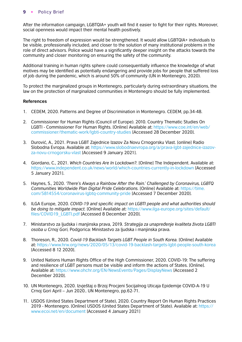After the information campaign, LGBTQIA+ youth will find it easier to fight for their rights. Moreover, social openness would impact their mental health positively.

The right to freedom of expression would be strengthened. It would allow LGBTQIA+ individuals to be visible, professionally included, and closer to the solution of many institutional problems in the role of direct advisors. Police would have a significantly deeper insight on the attacks towards the community and closer monitoring on ensuring the safety of the community.

Additional training in human rights sphere could consequentially influence the knowledge of what motives may be identified as potentially endangering and provide jobs for people that suffered loss of job during the pandemic, which is around 50% of community (UN in Montenegro, 2020).

To protect the marginalized groups in Montenegro, particularly during extraordinary situations, the law on the protection of marginalized communities in Montenegro should be fully implemented.

- 1. CEDEM, 2020. Patterns and Degree of Discrimination in Montenegro. CEDEM, pp.34-48.
- 2. Commissioner for Human Rights (Council of Europe). 2010. Country Thematic Studies On [LGBTI - Commissioner For Human Rights. \[Online\] Available at: https://www.coe.int/en/web/](https://www.coe.int/en/web/commissioner/thematic-work/lgbti-country-studies) commissioner/thematic-work/lgbti-country-studies [Accessed 28 December 2020].
- 3. Durović, A., 2021. Prava LGBT Zajednice Izazov Za Novu Crnogorsku Vlast. [online] Radio Slobodna Evropa. Available at: [https://www.slobodnaevropa.org/a/prava-lgbt-zajednice-izazov](https://www.slobodnaevropa.org/a/prava-lgbt- zajednice-izazov-za-novu-crnogorsku-vlast/31037584.html)[za-novu-crnogorsku-vlast](https://www.slobodnaevropa.org/a/prava-lgbt- zajednice-izazov-za-novu-crnogorsku-vlast/31037584.html) [Accessed 9 January 2021].
- 4. Giordano, C., 2021. *Which Countries Are In Lockdown?*. [Online] The Independent. Available at: [https://www.independent.co.uk/news/world/which-countries-currently-in-lockdown](https://www.independent.co.uk/news/world/which-countries-currently-in-lockdown-b1777806.html) [Accessed 5 January 2021].
- 5. Haynes, S., 2020. *'There's Always a Rainbow After the Rain.' Challenged by Coronavirus, LGBTQ Communities Worldwide Plan Digital Pride Celebrations.* [Online] Available at: [https://time.](https://time.com/5814554/coronavirus-lgbtq-community-pride/) [com/5814554/coronavirus-lgbtq-community-pride](https://time.com/5814554/coronavirus-lgbtq-community-pride/) [Accessed 7 December 2020].
- 6. ILGA Europe, 2020. *COVID-19 and specific impact on LGBTI people and what authorities should be doing to mitigate impact.* [Online] Available at: [https://www.ilga-europe.org/sites/default/](https://www.ilga-europe.org/sites/default/files/COVID19%20_Impact%20LGBTI%20people.pdf) [files/COVID19\\_LGBTI.pdf](https://www.ilga-europe.org/sites/default/files/COVID19%20_Impact%20LGBTI%20people.pdf) [Accessed 8 December 2020].
- 7. Ministarstvo za ljudska i manjinska prava, 2019. *Strategija za unapređenje kvaliteta života LGBTI osoba u Crnoj Gori,* Podgorica: Ministastvo za ljudska i manjinska prava.
- 8. Thoreson, R., 2020. *Covid-19 Backlash Targets LGBT People in South Korea.* [Online] Available at:<https://www.hrw.org/news/2020/05/13/covid-19-backlash-targets-lgbt-people-south-korea> [Accessed 8 12 2020].
- 9. United Nations Human Rights Office of the High Commissioner, 2020. COVID-19: The suffering and resilience of LGBT persons must be visible and inform the actions of States. [Online]. Available at: [https://www.ohchr.org/EN/NewsEvents/Pages/DisplayNews](https://www.ohchr.org/EN/NewsEvents/Pages/DisplayNews.aspx?NewsID=25884&LangID=E) [Accessed 2 December 2020].
- 10. UN Montenegro, 2020. Izvještaj o Brzoj Procjeni Socijalnog Uticaja Epidemije COVID-A-19 U Crnoj Gori April – Jun 2020.. UN Montenegro, pp.62-71.
- 11. USDOS (United States Department of State), 2020. Country Report On Human Rights Practices 2019 - Montenegro. [Online] USDOS (United States Department of State). Available at: [https://](https://www.ecoi.net/en/document/2026430.html) [www.ecoi.net/en/document](https://www.ecoi.net/en/document/2026430.html) [Accessed 4 January 2021]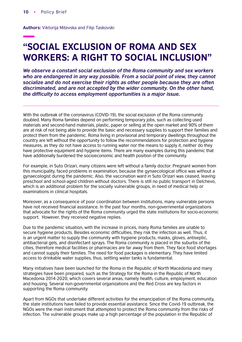**Authors:** Viktorija Mitevska and Filip Taskovski

# "SOCIAL EXCLUSION OF ROMA AND SEX WORKERS: A RIGHT TO SOCIAL INCLUSION"

*We observe a constant social exclusion of the Roma community and sex workers who are endangered in any way possible. From a social point of view, they cannot socialize and do not exercise their rights as other people because they are often discriminated, and are not accepted by the wider community. On the other hand,*  the difficulty to access employment opportunities is a major issue.

With the outbreak of the coronavirus (COVID-19), the social exclusion of the Roma community doubled. Many Roma families depend on performing temporary jobs, such as collecting used materials and second-hand materials, plastic, paper or selling at the open market and 90% of them are at risk of not being able to provide the basic and necessary supplies to support their families and protect them from the pandemic. Roma living in provisional and temporary dwellings throughout the country are left without the opportunity to follow the recommendations for protection and hygiene measures, as they do not have access to running water nor the means to supply it, neither do they have protective equipment and hygiene items. There are many examples during this pandemic that have additionally burdened the socioeconomic and health position of the community.

For example, in Suto Orizari, many citizens were left without a family doctor. Pregnant women from this municipality, faced problems in examination, because the gynaecological office was without a gynaecologist during the pandemic. Also, the vaccination ward in Suto Orizari was ceased, leaving preschool and school-aged children without doctors. There is still no public transport in Delchevo, which is an additional problem for the socially vulnerable groups, in need of medical help or examinations in clinical hospitals.

Moreover, as a consequence of poor coordination between institutions, many vulnerable persons have not received financial assistance. In the past four months, non-governmental organizations that advocate for the rights of the Roma community urged the state institutions for socio-economic support. However, they received negative replies.

Due to the pandemic situation, with the increase in prices, many Roma families are unable to secure hygiene products. Besides economic difficulties, they risk the infection as well. Thus, it is an urgent matter to supply the community with hygiene products, masks, gloves, antiseptic, antibacterial gels, and disinfectant sprays. The Roma community is placed in the suburbs of the cities, therefore medical facilities or pharmacies are far away from them. They face food shortages and cannot supply their families. The need for food packages is elementary. They have limited access to drinkable water supplies, thus, settling water tanks is fundamental.

Many initiatives have been launched for the Roma in the Republic of North Macedonia and many strategies have been prepared, such as the Strategy for the Roma in the Republic of North Macedonia 2014-2020, which covers several areas, namely health, culture, employment, education and housing. Several non-governmental organizations and the Red Cross are key factors in supporting the Roma community.

Apart from NGOs that undertake different activities for the emancipation of the Roma community, the state institutions have failed to provide essential assistance. Since the Covid-19 outbreak, the NGOs were the main instrument that attempted to protect the Roma community from the risks of infection. The vulnerable groups make up a high percentage of the population in the Republic of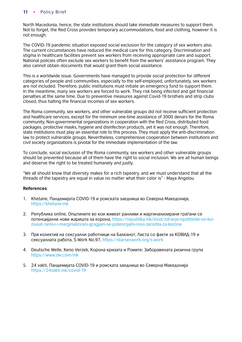North Macedonia, hence, the state institutions should take immediate measures to support them. Not to forget, the Red Cross provides temporary accommodations, food and clothing, however it is not enough.

The COVID-19 pandemic situation exposed social exclusion for the category of sex workers also. The current circumstances have reduced the medical care for this category. Discrimination and stigma in healthcare facilities prevent sex workers from receiving appropriate care and support. National policies often exclude sex workers to benefit from the workers' assistance program. They also cannot obtain documents that would grant them social assistance.

This is a worldwide issue. Governments have managed to provide social protection for different categories of people and communities, especially to the self-employed, unfortunately, sex workers are not included. Therefore, public institutions must initiate an emergency fund to support them. In the meantime, many sex workers are forced to work. They risk being infected and get financial penalties at the same time. Due to preventive measures against Covid-19 brothels and strip clubs closed, thus halting the financial incomes of sex workers.

The Roma community, sex workers, and other vulnerable groups did not receive sufficient protection and healthcare services, except for the minimum one-time assistance of 3000 denars for the Roma community. Non-governmental organizations in cooperation with the Red Cross, distributed food packages, protective masks, hygiene and disinfection products, yet it was not enough. Therefore, state institutions must play an essential role to this process. They must apply the anti-discrimination law to protect vulnerable groups. Nevertheless, comprehensive cooperation between institutions and civil society organizations is pivotal for the immediate implementation of the law.

To conclude, social exclusion of the Roma community, sex workers and other vulnerable groups should be prevented because all of them have the right to social inclusion. We are all human beings and deserve the right to be treated humanely and justly.

"We all should know that diversity makes for a rich tapestry, and we must understand that all the threads of the tapestry are equal in value no matter what their color is" - Maya Angelou

- 1. Khetane, Пандемијата COVID-19 и ромската заедница во Северна Македонија, [https://khetane.mk](https://khetane.mk/%d0%9f%d0%b0%d0%bd%d0%b4%d0%b5%d0%bc%d0%b8%d1%98%d0%b0%d1%82%d0%b0-covid-19-%d0%b8-%d1%80%d0%be%d0%bc%d1%81%d0%ba%d0%b0%d1%82%d0%b0-%d0%b7%d0%b0%d0%b5%d0%b4%d0%bd%d0%b8%d1%86%d0%b0-%d0%b2%d0%be-%d0%a1/?fbclid=IwAR1pJHrQ-IbUewi4lZHU5LYG557hNXoPgqewtAkf_yn4Vc-TWbuOLv_XEYc)
- 2. Република online, Општините во кои живеат ранливи и маргинализирани граѓани се потенцијални нови жаришта за корона, [https://republika.mk/zivot/zdravje/opshtinite-vo-koi](https://republika.mk/zivot/zdravje/opshtinite-vo-koi-ziveat-ranlivi-i-marginalizirani-gragjani-se-potencijalni-novi-zarishta-za-korona/?fbclid=IwAR14rOtFF-iOkDYbUtgF23o9TkLI0nZrUSxuiEzWXz6DV17N8CFX9W-eoMk)[ziveat-ranlivi-i-marginalizirani-gragjani-se-potencijalni-novi-zarishta-za-korona](https://republika.mk/zivot/zdravje/opshtinite-vo-koi-ziveat-ranlivi-i-marginalizirani-gragjani-se-potencijalni-novi-zarishta-za-korona/?fbclid=IwAR14rOtFF-iOkDYbUtgF23o9TkLI0nZrUSxuiEzWXz6DV17N8CFX9W-eoMk)
- 3. Прв колектив на сексуални работници на Балканот, Листа со факти за КОВИД-19 и сексуалната работа, S-Work No.97, [https://starsexwork.org/s-work](https://starsexwork.org/s-work-no-97/?fbclid=IwAR14rOtFF-iOkDYbUtgF23o9TkLI0nZrUSxuiEzWXz6DV17N8CFX9W-eoMk)
- 4. Deutsche Welle, Keno Verzek, Корона кризата и Ромите: Заборавената ризична група [https://www.dw.com/mk](https://www.dw.com/mk/%D0%BA%D0%BE%D1%80%D0%BE%D0%BD%D0%B0-%D0%BA%D1%80%D0%B8%D0%B7%D0%B0%D1%82%D0%B0-%D0%B8-%D1%80%D0%BE%D0%BC%D0%B8%D1%82%D0%B5-%D0%B7%D0%B0%D0%B1%D0%BE%D1%80%D0%B0%D0%B2%D0%B5%D0%BD%D0%B0%D1%82%D0%B0-%D1%80%D0%B8%D0%B7%D0%B8%D1%87%D0%BD%D0%B0-%D0%B3%D1%80%D1%83%D0%BF%D0%B0/a-53028460?fbclid=IwAR1BJgfIqg7KzLI_bOBHD4lKlqlzASA9xDpQC1YDRMJa1Am6V9Sa297SdmE)
- 5. 24 vakti, Пандемијата COVID-19 и ромската заедница во Северна Македонија [https://24vakti.mk/covid-19](https://24vakti.mk/%D0%BF%D0%B0%D0%BD%D0%B4%D0%B5%D0%BC%D0%B8%D1%98%D0%B0%D1%82%D0%B0-covid-19-%D0%B8-%D1%80%D0%BE%D0%BC%D1%81%D0%BA%D0%B0%D1%82%D0%B0-%D0%B7%D0%B0%D0%B5%D0%B4%D0%BD%D0%B8%D1%86%D0%B0-%D0%B2%D0%BE-%D1%81/?fbclid=IwAR1sIuWBL3JjBtPvcHE28xBaNbTrIlV7GZ3tD99vNzf1KGTNo2whMhNN0pk)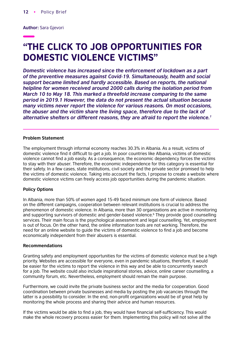**Author:** Sara Gjevori

# "THE CLICK TO JOB OPPORTUNITIES FOR DOMESTIC VIOLENCE VICTIMS"

*Domestic violence has increased since the enforcement of lockdown as a part of the preventive measures against Covid-19. Simultaneously, health and social support became limited and hardly accessible. Based on reports, the national helpline for women received around 2000 calls during the isolation period from March 10 to May 18. This marked a threefold increase comparing to the same period in 2019.1 However, the data do not present the actual situation because many victims never report the violence for various reasons. On most occasions, the abuser and the victim share the living space, therefore due to the lack of alternative shelters or different reasons, they are afraid to report the violence.1*

#### **Problem Statement**

The employment through informal economy reaches 30.3% in Albania. As a result, victims of domestic violence find it difficult to get a job. In poor countries like Albania, victims of domestic violence cannot find a job easily. As a consequence, the economic dependency forces the victims to stay with their abuser. Therefore, the economic independence for this category is essential for their safety. In a few cases, state institutions, civil society and the private sector promised to help the victims of domestic violence. Taking into account the facts, I propose to create a website where domestic violence victims can freely access job opportunities during the pandemic situation.

#### **Policy Options**

In Albania, more than 50% of women aged 15-49 faced minimum one form of violence. Based on the different campaigns, cooperation between relevant institutions is crucial to address the phenomenon of domestic violence. In Albania, more than 30 organizations are active in monitoring and supporting survivors of domestic and gender-based violence.<sup>6</sup> They provide good counselling services. Their main focus is the psychological assessment and legal counselling. Yet, employment is out of focus. On the other hand, the online information tools are not working. Therefore, the need for an online website to guide the victims of domestic violence to find a job and become economically independent from their abusers is essential.

#### **Recommendations**

Granting safety and employment opportunities for the victims of domestic violence must be a high priority. Websites are accessible for everyone, even in pandemic situations, therefore, it would be easier for the victims to report the violence in this way and be able to concurrently search for a job. The website could also include inspirational stories, advice, online career counselling, a community forum, etc. Nevertheless, employment should remain the main purpose.

Furthermore, we could invite the private business sector and the media for cooperation. Good coordination between private businesses and media by posting the job vacancies through the latter is a possibility to consider. In the end, non-profit organizations would be of great help by monitoring the whole process and sharing their advice and human resources.

If the victims would be able to find a job, they would have financial self-sufficiency. This would make the whole recovery process easier for them. Implementing this policy will not solve all the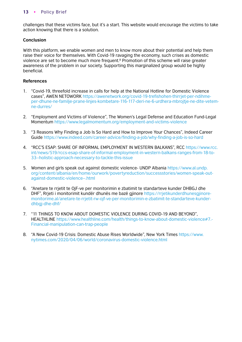challenges that these victims face, but it's a start. This website would encourage the victims to take action knowing that there is a solution.

# **Conclusion**

With this platform, we enable women and men to know more about their potential and help them raise their voice for themselves. With Covid-19 ravaging the economy, such crises as domestic violence are set to become much more frequent.<sup>8</sup> Promotion of this scheme will raise greater awareness of the problem in our society. Supporting this marginalized group would be highly beneficial.

- 1. "Covid-19, threefold increase in calls for help at the National Hotline for Domestic Violence cases", AWEN NETOWORK [https://awenetwork.org/covid-19-trefishohen-thirrjet-per-ndihme](https://awenetwork.org/covid-19-trefishohen-thirrjet-per-ndihme-per-dhune-ne-familje-prane-linjes-kombetare-116-117-deri-ne-6-urdhera-mbrojtje-ne-dite-vetem-ne-durres/)[per-dhune-ne-familje-prane-linjes-kombetare-116-117-deri-ne-6-urdhera-mbrojtje-ne-dite-vetem](https://awenetwork.org/covid-19-trefishohen-thirrjet-per-ndihme-per-dhune-ne-familje-prane-linjes-kombetare-116-117-deri-ne-6-urdhera-mbrojtje-ne-dite-vetem-ne-durres/)[ne-durres/](https://awenetwork.org/covid-19-trefishohen-thirrjet-per-ndihme-per-dhune-ne-familje-prane-linjes-kombetare-116-117-deri-ne-6-urdhera-mbrojtje-ne-dite-vetem-ne-durres/)
- 2. "Employment and Victims of Violence", The Women's Legal Defense and Education Fund-Legal Momentum<https://www.legalmomentum.org/employment-and-victims-violence>
- 3. "3 Reasons Why Finding a Job Is So Hard and How to Improve Your Chances", Indeed Career Guide <https://www.indeed.com/career-advice/finding-a-job/why-finding-a-job-is-so-hard>
- 4. "RCC'S ESAP: SHARE OF INFORMAL EMPLOYMENT IN WESTERN BALKANS", RCC [https://www.rcc.](https://www.rcc.int/news/519/rccs-esap-share-of-informal-employment-in-western-balkans-ranges-from-18-to-33--holistic-approach-necessary-to-tackle-this-issue) [int/news/519/rccs-esap-share-of-informal-employment-in-western-balkans-ranges-from-18-to-](https://www.rcc.int/news/519/rccs-esap-share-of-informal-employment-in-western-balkans-ranges-from-18-to-33--holistic-approach-necessary-to-tackle-this-issue)[33--holistic-approach-necessary-to-tackle-this-issue](https://www.rcc.int/news/519/rccs-esap-share-of-informal-employment-in-western-balkans-ranges-from-18-to-33--holistic-approach-necessary-to-tackle-this-issue)
- 5. Women and girls speak out against domestic violence- UNDP Albania [https://www.al.undp.](https://www.al.undp.org/content/albania/en/home/ourwork/povertyreduction/successstories/women-speak-out-against-domestic-violence--.html) [org/content/albania/en/home/ourwork/povertyreduction/successstories/women-speak-out](https://www.al.undp.org/content/albania/en/home/ourwork/povertyreduction/successstories/women-speak-out-against-domestic-violence--.html)[against-domestic-violence--.html](https://www.al.undp.org/content/albania/en/home/ourwork/povertyreduction/successstories/women-speak-out-against-domestic-violence--.html)
- 6. "Anetare te rrjetit te OjF-ve per monitorimin e zbatimit te standarteve kunder DHBGJ dhe DHF", Rrieti i monitorimit kundër dhunës me bazë gjinore [https://rrjetikunderdhunesgjinore](https://rrjetikunderdhunesgjinore-monitorime.al/anetare-te-rrjetit-rw-ojf-ve-per-monitorimin-e-zbatimit-te-standarteve-kunder-dhbgj-dhe-dhf/)[monitorime.al/anetare-te-rrjetit-rw-ojf-ve-per-monitorimin-e-zbatimit-te-standarteve-kunder](https://rrjetikunderdhunesgjinore-monitorime.al/anetare-te-rrjetit-rw-ojf-ve-per-monitorimin-e-zbatimit-te-standarteve-kunder-dhbgj-dhe-dhf/)[dhbgj-dhe-dhf/](https://rrjetikunderdhunesgjinore-monitorime.al/anetare-te-rrjetit-rw-ojf-ve-per-monitorimin-e-zbatimit-te-standarteve-kunder-dhbgj-dhe-dhf/)
- 7. "11 THINGS TO KNOW ABOUT DOMESTIC VIOLENCE DURING COVID-19 AND BEYOND", HEALTHLINE [https://www.healthline.com/health/things-to-know-about-domestic-violence#7.-](https://www.healthline.com/health/things-to-know-about-domestic-violence#7.-Financial-manipulation-can-trap-people) [Financial-manipulation-can-trap-people](https://www.healthline.com/health/things-to-know-about-domestic-violence#7.-Financial-manipulation-can-trap-people)
- 8. "A New Covid-19 Crisis: Domestic Abuse Rises Worldwide", New York Times [https://www.](https://www.nytimes.com/2020/04/06/world/coronavirus-domestic-violence.html) [nytimes.com/2020/04/06/world/coronavirus-domestic-violence.html](https://www.nytimes.com/2020/04/06/world/coronavirus-domestic-violence.html)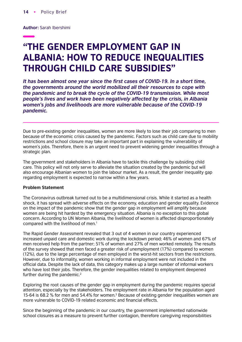**Author:** Sarah Ibershimi

# "THE GENDER EMPLOYMENT GAP IN ALBANIA: HOW TO REDUCE INEQUALITIES THROUGH CHILD CARE SUBSIDIES"

It has been almost one year since the first cases of COVID-19. In a short time, *the governments around the world mobilized all their resources to cope with the pandemic and to break the cycle of the COVID-19 transmission. While most people's lives and work have been negatively affected by the crisis, in Albania women's jobs and livelihoods are more vulnerable because of the COVID-19 pandemic.* 

Due to pre-existing gender inequalities, women are more likely to lose their job comparing to men because of the economic crisis caused by the pandemic. Factors such as child care due to mobility restrictions and school closure may take an important part in explaining the vulnerability of women's jobs. Therefore, there is an urgent need to prevent widening gender inequalities through a strategic plan.

The government and stakeholders in Albania have to tackle this challenge by subsiding child care. This policy will not only serve to alleviate the situation created by the pandemic but will also encourage Albanian women to join the labour market. As a result, the gender inequality gap regarding employment is expected to narrow within a few years.

#### **Problem Statement**

The Coronavirus outbreak turned out to be a multidimensional crisis. While it started as a health shock, it has spread with adverse effects on the economy, education and gender equality. Evidence on the impact of the pandemic show that the gender gap in employment will amplify because women are being hit hardest by the emergency situation. Albania is no exception to this global concern. According to UN Women Albania, the livelihood of women is affected disproportionately compared with the livelihood of men.1

The Rapid Gender Assessment revealed that 3 out of 4 women in our country experienced increased unpaid care and domestic work during the lockdown period; 46% of women and 67% of men received help from the partner; 51% of women and 27% of men worked remotely. The results of the survey showed that men faced a greater risk of unemployment (17%) compared to women (12%), due to the large percentage of men employed in the worst-hit sectors from the restrictions. However, due to informality, women working in informal employment were not included in the official data. Despite the lack of data, this category makes up a large number of informal workers who have lost their jobs. Therefore, the gender inequalities related to employment deepened further during the pandemic.<sup>2</sup>

Exploring the root causes of the gender gap in employment during the pandemic requires special attention, especially by the stakeholders. The employment rate in Albania for the population aged 15-64 is 68.2 % for men and 54.4% for women.3 Because of existing gender inequalities women are more vulnerable to COVID-19 related economic and financial effects.

Since the beginning of the pandemic in our country, the government implemented nationwide school closures as a measure to prevent further contagion, therefore caregiving responsibilities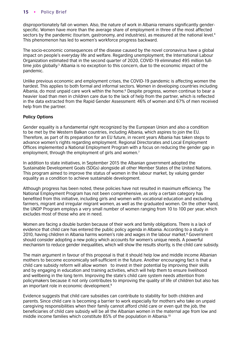disproportionately fall on women. Also, the nature of work in Albania remains significantly genderspecific. Women have more than the average share of employment in three of the most affected sectors by the pandemic (tourism, gastronomy, and industries), as measured at the national level.<sup>4</sup> This phenomenon has led to women's workforce progress backward.

The socio-economic consequences of the disease caused by the novel coronavirus have a global impact on people's everyday life and welfare. Regarding unemployment, the International Labour Organization estimated that in the second quarter of 2020, COVID-19 eliminated 495 million fulltime jobs globally.<sup>5</sup> Albania is no exception to this concern, due to the economic impact of the pandemic.

Unlike previous economic and employment crises, the COVID-19 pandemic is affecting women the hardest. This applies to both formal and informal sectors. Women in developing countries including Albania, do most unpaid care work within the home.<sup>6</sup> Despite progress, women continue to bear a heavier load than men in children care due to the lack of help from the partner, which is reflected in the data extracted from the Rapid Gender Assessment: 46% of women and 67% of men received help from the partner.

# **Policy Options**

Gender equality is a fundamental right recognized by the European Union and also a condition to be met by the Western Balkan countries, including Albania, which aspires to join the EU. Therefore, as part of its preparation for an EU future, in recent years Albania has taken steps to advance women's rights regarding employment. Regional Directorates and Local Employment Offices implemented a National Employment Program with a focus on reducing the gender gap in employment, through the employment of girls and women.<sup>7</sup>

In addition to state initiatives, in September 2015 the Albanian government adopted the Sustainable Development Goals (SDGs) alongside all other Member States of the United Nations. This program aimed to improve the status of women in the labour market, by valuing gender equality as a condition to achieve sustainable development.

Although progress has been noted, these policies have not resulted in maximum efficiency. The National Employment Program has not been comprehensive, as only a certain category has benefited from this initiative, including girls and women with vocational education and excluding farmers, migrant and irregular migrant women, as well as the graduated women. On the other hand, the UNDP Program employs a very small number of women ranging from 10 to 100 per year, which excludes most of those who are in need.

Women are facing a double burden because of their work and family obligations. There is a lack of evidence that child care has entered the public policy agenda in Albania. According to a study in 2010, having children in Albania harms women's role and wages in the labour market.<sup>8</sup> Government should consider adopting a new policy which accounts for women's unique needs. A powerful mechanism to reduce gender inequalities, which will show the results shortly, is the child care subsidy.

The main argument in favour of this proposal is that it should help low and middle income Albanian mothers to become economically self-sufficient in the future. Another encouraging fact is that a child care subsidy reform will allow women to invest in their potential by improving their skills and by engaging in education and training activities, which will help them to ensure livelihood and wellbeing in the long term. Improving the state's child care system needs attention from policymakers because it not only contributes to improving the quality of life of children but also has an important role in economic development.9

Evidence suggests that child care subsidies can contribute to stability for both children and parents. Since child care is becoming a barrier to work especially for mothers who take on unpaid caregiving responsibilities when their family cannot afford child care or even quit the job, the beneficiaries of child care subsidy will be all the Albanian women in the maternal age from low and middle income families which constitute 85% of the population in Albania.10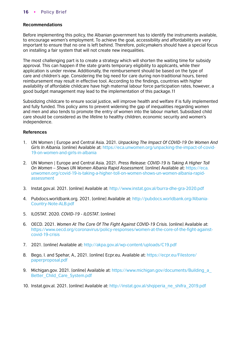# **Recommendations**

Before implementing this policy, the Albanian government has to identify the instruments available, to encourage women's employment. To achieve the goal, accessibility and affordability are very important to ensure that no one is left behind. Therefore, policymakers should have a special focus on installing a fair system that will not create new inequalities.

The most challenging part is to create a strategy which will shorten the waiting time for subsidy approval. This can happen if the state grants temporary eligibility to applicants, while their application is under review. Additionally, the reimbursement should be based on the type of care and children's age. Considering the big need for care during non-traditional hours, tiered reimbursement may result in effective tool. According to the findings, countries with higher availability of affordable childcare have high maternal labour force participation rates, however, a good budget management may lead to the implementation of this package.11

Subsidizing childcare to ensure social justice, will improve health and welfare if is fully implemented and fully funded. This policy aims to prevent widening the gap of inequalities regarding women and men and also tends to promote the entry of women into the labour market. Subsidized child care should be considered as the lifeline to healthy children, economic security and women's independence.

- 1. UN Women | Europe and Central Asia. 2021. *Unpacking The Impact Of COVID-19 On Women And Girls In Albania.* [online] Available at: [https://eca.unwomen.org/unpacking-the-impact-of-covid-](https://eca.unwomen.org/en/news/stories/2020/4/unpacking-the-impact-of-covid-19-on-women-and-girls-in-albania)[19-on-women-and-girls-in-albania](https://eca.unwomen.org/en/news/stories/2020/4/unpacking-the-impact-of-covid-19-on-women-and-girls-in-albania)
- 2. UN Women | Europe and Central Asia. 2021. *Press Release: COVID-19 Is Taking A Higher Toll On Women – Shows UN Women Albania Rapid Assessment.* [online] Available at: [https://eca.](https://eca.unwomen.org/en/news/stories/2020/7/covid-19-is-taking-a-higher-toll-on-women-shows-un-women-albania-rapid-assessment) [unwomen.org/covid-19-is-taking-a-higher-toll-on-women-shows-un-women-albania-rapid](https://eca.unwomen.org/en/news/stories/2020/7/covid-19-is-taking-a-higher-toll-on-women-shows-un-women-albania-rapid-assessment)[assessment](https://eca.unwomen.org/en/news/stories/2020/7/covid-19-is-taking-a-higher-toll-on-women-shows-un-women-albania-rapid-assessment)
- 3. Instat.gov.al. 2021. [online] Available at: [http://www.instat.gov.al/burra-dhe-gra-2020.pdf](http://www.instat.gov.al/media/7376/burra-dhe-gra-2020.pdf)
- 4. Pubdocs.worldbank.org. 2021. [online] Available at: [http://pubdocs.worldbank.org/Albania-](http://pubdocs.worldbank.org/en/764381588143421027/RER17-Albania-Country-Note-ALB.pdf)[Country-Note-ALB.pdf](http://pubdocs.worldbank.org/en/764381588143421027/RER17-Albania-Country-Note-ALB.pdf)
- 5. ILOSTAT. 2020. *COVID-19 ILOSTAT*. [online]
- 6. OECD. 2021. *Women At The Core Of The Fight Against COVID-19 Crisis.* [online] Available at: [https://www.oecd.org/coronavirus/policy-responses/women-at-the-core-of-the-fight-against](https://www.oecd.org/coronavirus/policy-responses/women-at-the-core-of-the-fight-against-covid-19-crisis-553a8269/#section-d1e1263)[covid-19-crisis](https://www.oecd.org/coronavirus/policy-responses/women-at-the-core-of-the-fight-against-covid-19-crisis-553a8269/#section-d1e1263)
- 7. 2021. [online] Available at: [http://akpa.gov.al/wp-content/uploads/C19.pdf](http://akpa.gov.al/wp-content/uploads/2020/08/VKM-608-e-C19.pdf)
- 8. Bego, I. and Spehar, A., 2021. [online] Ecpr.eu. Available at: [https://ecpr.eu/Filestore/](https://ecpr.eu/Filestore/paperproposal/dc2b356e-abcf-4581-9a9a-4b9f83195882.pdf) [paperproposal.pdf](https://ecpr.eu/Filestore/paperproposal/dc2b356e-abcf-4581-9a9a-4b9f83195882.pdf)
- 9. Michigan.gov. 2021. [online] Available at: https://www.michigan.gov/documents/Building\_a [Better\\_Child\\_Care\\_System.pdf](https://www.michigan.gov/documents/mde/Building_a_Better_Child_Care_System_534366_7.pdf)
- 10. Instat.gov.al. 2021. [online] Available at: [http://instat.gov.al/shqiperia\\_ne\\_shifra\\_2019.pdf](http://instat.gov.al/media/6964/shqiperia_ne_shifra_2019_.pdf)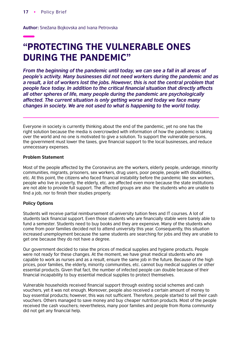**Author:** Snežana Bojkovska and Ivana Petrovska

# "PROTECTING THE VULNERABLE ONES DURING THE PANDEMIC"

*From the beginning of the pandemic until today, we can see a fall in all areas of people's activity. Many businesses did not need workers during the pandemic and as a result, a lot of workers lost the jobs. However, this is not the central problem that*  people face today. In addition to the critical financial situation that directly affects *all other spheres of life, many people during the pandemic are psychologically affected. The current situation is only getting worse and today we face many changes in society. We are not used to what is happening to the world today.*

Everyone in society is currently thinking about the end of the pandemic, yet no one has the right solution because the media is overcrowded with information of how the pandemic is taking over the world and no one is motivated to give a solution. To support the vulnerable persons, the government must lower the taxes, give financial support to the local businesses, and reduce unnecessary expenses.

#### **Problem Statement**

Most of the people affected by the Coronavirus are the workers, elderly people, underage, minority communities, migrants, prisoners, sex workers, drug users, poor people, people with disabilities, etc. At this point, the citizens who faced financial instability before the pandemic like sex workers, people who live in poverty, the elderly, etc. are affected even more because the state institutions are not able to provide full support. The affected groups are also the students who are unable to find a job, nor to finish their studies properly.

#### **Policy Options**

Students will receive partial reimbursement of university tuition fees and IT courses. A lot of students lack financial support. Even those students who are financially stable were barely able to fund a semester. Students need to buy books and they are expensive. Many of the students who come from poor families decided not to attend university this year. Consequently, this situation increased unemployment because the same students are searching for jobs and they are unable to get one because they do not have a degree.

Our government decided to raise the prices of medical supplies and hygiene products. People were not ready for these changes. At the moment, we have great medical students who are capable to work as nurses and as a result, ensure the same job in the future. Because of the high prices, poor families, the elderly, minority communities, etc. cannot buy medical supplies or other essential products. Given that fact, the number of infected people can double because of their financial incapability to buy essential medical supplies to protect themselves.

Vulnerable households received financial support through existing social schemes and cash vouchers, yet it was not enough. Moreover, people also received a certain amount of money to buy essential products; however, this was not sufficient. Therefore, people started to sell their cash vouchers. Others managed to save money and buy cheaper nutrition products. Most of the people received the cash vouchers; nevertheless, many poor families and people from Roma community did not get any financial help.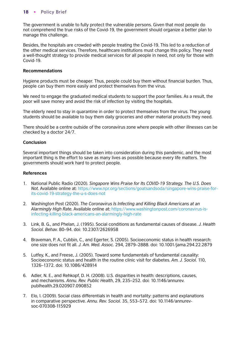The government is unable to fully protect the vulnerable persons. Given that most people do not comprehend the true risks of the Covid-19, the government should organize a better plan to manage this challenge.

Besides, the hospitals are crowded with people treating the Covid-19. This led to a reduction of the other medical services. Therefore, healthcare institutions must change this policy. They need a well-thought strategy to provide medical services for all people in need, not only for those with Covid-19.

### **Recommendations**

Hygiene products must be cheaper. Thus, people could buy them without financial burden. Thus, people can buy them more easily and protect themselves from the virus.

We need to engage the graduated medical students to support the poor families. As a result, the poor will save money and avoid the risk of infection by visiting the hospitals.

The elderly need to stay in quarantine in order to protect themselves from the virus. The young students should be available to buy them daily groceries and other material products they need.

There should be a centre outside of the coronavirus zone where people with other illnesses can be checked by a doctor 24/7.

# **Conclusion**

Several important things should be taken into consideration during this pandemic, and the most important thing is the effort to save as many lives as possible because every life matters. The governments should work hard to protect people.

- 1. National Public Radio (2020). *Singapore Wins Praise for Its COVID-19 Strategy. The U.S. Does Not.* Available online at: [https://www.npr.org/sections/goatsandsoda/singapore-wins-praise-for](https://www.npr.org/sections/goatsandsoda/2020/03/12/814522489/singapore-wins-praise-for-its-covid-19-strategy-the-u-s-does-not)[its-covid-19-strategy-the-u-s-does-not](https://www.npr.org/sections/goatsandsoda/2020/03/12/814522489/singapore-wins-praise-for-its-covid-19-strategy-the-u-s-does-not)
- 2. Washington Post (2020). *The Coronavirus Is Infecting and Killing Black Americans at an Alarmingly High Rate.* Available online at: [https://www.washingtonpost.com/coronavirus-is](https://www.washingtonpost.com/nation/2020/04/07/coronavirus-is-infecting-killing-black-americans-an-alarmingly-high-rate-post-analysis-shows/?arc404=true 
)[infecting-killing-black-americans-an-alarmingly-high-rate](https://www.washingtonpost.com/nation/2020/04/07/coronavirus-is-infecting-killing-black-americans-an-alarmingly-high-rate-post-analysis-shows/?arc404=true 
)
- 3. Link, B. G., and Phelan, J. (1995). Social conditions as fundamental causes of disease. *J. Health Sociol. Behav.* 80–94. doi: 10.2307/2626958
- 4. Braveman, P. A., Cubbin, C., and Egerter, S. (2005). Socioeconomic status in health research: one size does not fit all. *J. Am. Med. Assoc.* 294, 2879–2888. doi: 10.1001/jama.294.22.2879
- 5. Lutfey, K., and Freese, J. (2005). Toward some fundamentals of fundamental causality: Socioeconomic status and health in the routine clinic visit for diabetes. *Am. J. Sociol.* 110, 1326–1372. doi: 10.1086/428914
- 6. Adler, N. E., and Rehkopf, D. H. (2008). U.S. disparities in health: descriptions, causes, and mechanisms. *Annu. Rev. Public Health*, 29, 235–252. doi: 10.1146/annurev. publhealth.29.020907.090852
- 7. Elo, I. (2009). Social class differentials in health and mortality: patterns and explanations in comparative perspective. *Annu. Rev. Sociol*. 35, 553–572. doi: 10.1146/annurevsoc-070308-115929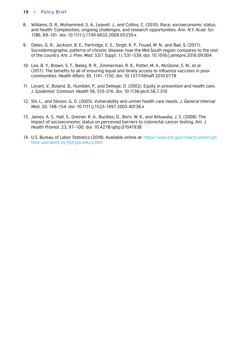- 8. Williams, D. R., Mohammed, S. A., Leavell, J., and Collins, C. (2010). Race, socioeconomic status, and health: Complexities, ongoing challenges, and research opportunities. *Ann. N.Y. Acad. Sci.* 1186, 69–101. doi: 10.1111/j.1749-6632.2009.05339.x
- 9. Oates, G. R., Jackson, B. E., Partridge, E. E., Singh, K. P., Fouad, M. N., and Bae, S. (2017). Sociodemographic patterns of chronic disease: how the Mid-South region compares to the rest of the country. *Am. J. Prev. Med*. 52(1 Suppl. 1), S31–S39. doi: 10.1016/j.amepre.2016.09.004
- 10. Lee, B. Y., Brown, S. T., Bailey, R. R., Zimmerman, R. K., Potter, M. A., McGlone, S. M., et al. (2011). The benefits to all of ensuring equal and timely access to influenza vaccines in poor communities. *Health Affairs* 30, 1141–1150. doi: 10.1377/hlthaff.2010.0778
- 11. Lorant, V., Boland, B., Humblet, P., and Deliege, D. (2002). Equity in prevention and health care. *J. Epidemiol. Commun. Health* 56, 510–516. doi: 10.1136/jech.56.7.510
- 12. Shi, L., and Steven, G. D. (2005). Vulnerability and unmet health care needs. *J. General Internal Med*. 20, 148–154. doi: 10.1111/j.1525-1497.2005.40136.x
- 13. James, A. S., Hall, S., Greiner, K. A., Buckles, D., Born, W. K., and Ahluwalia, J. S. (2008). The impact of socioeconomic status on perceived barriers to colorectal cancer testing. *Am. J. Health Promot*. 23, 97–100. doi: 10.4278/ajhp.07041938
- 14. U.S. Bureau of Labor Statistics (2018). Available online at: [https://www.bls.gov/charts/american](https://www.bls.gov/charts/american-time-use/work-by-ftpt-job-edu-p.htm)[time-use/work-by-ftpt-job-edu-p.htm](https://www.bls.gov/charts/american-time-use/work-by-ftpt-job-edu-p.htm)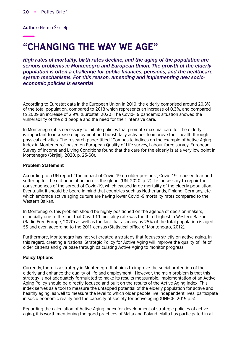**Author:** Nerma Škrijelj

# "CHANGING THE WAY WE AGE"

*High rates of mortality, birth rates decline, and the aging of the population are serious problems in Montenegro and European Union. The growth of the elderly*  population is often a challenge for public finances, pensions, and the healthcare *system mechanisms. For this reason, amending and implementing new socioeconomic policies is essential*

According to Eurostat data in the European Union in 2019, the elderly comprised around 20.3% of the total population, compared to 2018 which represents an increase of 0.3%, and compared to 2009 an increase of 2.9%. (Eurostat, 2020) The Covid-19 pandemic situation showed the vulnerability of the old people and the need for their intensive care.

In Montenegro, it is necessary to initiate policies that promote maximal care for the elderly. It is important to increase employment and boost daily activities to improve their health through physical activities. The research paper titled "Composite indices on the example of Active Aging Index in Montenegro" based on European Quality of Life survey, Labour force survey, European Survey of Income and Living Conditions found that the care for the elderly is at a very low point in Montenegro (Skrijelj, 2020, p. 25-60).

### **Problem Statement**

According to a UN report "The impact of Covid-19 on older persons", Covid-19 caused fear and suffering for the old population across the globe. (UN, 2020, p. 2) It is necessary to repair the consequences of the spread of Covid-19, which caused large mortality of the elderly population. Eventually, it should be beard in mind that countries such as Netherlands, Finland, Germany, etc. which embrace active aging culture are having lower Covid -9 mortality rates compared to the Western Balkan.

In Montenegro, this problem should be highly positioned on the agenda of decision-makers, especially due to the fact that Covid-19 mortality rate was the third highest in Western Balkan (Radio Free Europe, 2020) as well as the fact that as many as 25% of the total population is aged 55 and over, according to the 2011 census (Statistical office of Montenegro, 2012).

Furthermore, Montenegro has not yet created a strategy that focuses strictly on active aging. In this regard, creating a National Strategic Policy for Active Aging will improve the quality of life of older citizens and give base through calculating Active Aging to monitor progress.

# **Policy Options**

Currently, there is a strategy in Montenegro that aims to improve the social protection of the elderly and enhance the quality of life and employment. However, the main problem is that this strategy is not adequately formulated to make its results measurable. Implementation of an Active Aging Policy should be directly focused and built on the results of the Active Aging Index. This index serves as a tool to measure the untapped potential of the elderly population for active and healthy aging, as well to measure the level to which older people live independent lives, participate in socio-economic reality and the capacity of society for active aging (UNECE, 2019 p.5).

Regarding the calculation of Active Aging Index for development of strategic policies of active aging, it is worth mentioning the good practices of Malta and Poland. Malta has participated in all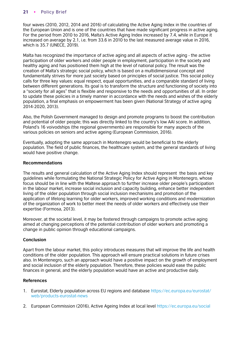four waves (2010, 2012, 2014 and 2016) of calculating the Active Aging Index in the countries of the European Union and is one of the countries that have made significant progress in active aging. For the period from 2010 to 2016, Malta's Active Aging Index increased by 7.4, while in Europe it increased on average by 2.1, i.e. from 33.6 in 2010 to the last measured average value in 2016, which is 35.7 (UNECE, 2019).

Malta has recognized the importance of active aging and all aspects of active aging - the active participation of older workers and older people in employment, participation in the society and healthy aging and has positioned them high at the level of national policy. The result was the creation of Malta's strategic social policy, which is based on a multidimensional concept and fundamentally strives for more just society based on principles of social justice. This social policy calls for three key values: equal respect, equal opportunities, and a comparable standard of living between different generations. Its goal is to transform the structure and functioning of society into a "society for all ages" that is flexible and responsive to the needs and opportunities of all. In order to update these policies in a timely manner in accordance with the needs and wishes of the elderly population, a final emphasis on empowerment has been given (National Strategy of active aging 2014-2020, 2013).

Also, the Polish Government managed to design and promote programs to boost the contribution and potential of older people; this was directly linked to the country's low AAI score. In addition, Poland's 16 voivodships (the regional governments) are responsible for many aspects of the various policies on seniors and active ageing (European Commission, 2016).

Eventually, adopting the same approach in Montenegro would be beneficial to the elderly population. The field of public finances, the healthcare system, and the general standards of living would have positive change.

# **Recommendations**

The results and general calculation of the Active Aging Index should represent the basis and key guidelines while formulating the National Strategic Policy for Active Aging in Montenegro, whose focus should be in line with the Maltese approach to further increase older people's participation in the labour market, increase social inclusion and capacity building, enhance better independent living of the older population through social inclusion mechanisms and promotion of the application of lifelong learning for older workers, improved working conditions and modernization of the organization of work to better meet the needs of older workers and effectively use their expertise (Formosa, 2013).

Moreover, at the societal level, it may be fostered through campaigns to promote active aging aimed at changing perceptions of the potential contribution of older workers and promoting a change in public opinion through educational campaigns.

# **Conclusion**

Apart from the labour market, this policy introduces measures that will improve the life and health conditions of the older population. This approach will ensure practical solutions in future crises also. In Montenegro, such an approach would have a positive impact on the growth of employment and social inclusion of the elderly population. Therefore, these policies would ease the public finances in general, and the elderly population would have an active and productive daily.

- 1. Eurostat, Elderly population across EU regions and database [https://ec.europa.eu/eurostat/](https://ec.europa.eu/eurostat/web/products-eurostat-news/-/DDN-20200402-1#%3A~%3Atext%3DIn%202019%2C%2020.3%25%20of%20the%2Cshare%20from%20a%20decade%20earlier) [web/products-eurostat-news](https://ec.europa.eu/eurostat/web/products-eurostat-news/-/DDN-20200402-1#%3A~%3Atext%3DIn%202019%2C%2020.3%25%20of%20the%2Cshare%20from%20a%20decade%20earlier)
- 2. European Commission (2016), Active Ageing Index at local level [https://ec.europa.eu/social](https://ec.europa.eu/social/main.jsp?catId=1024&langId=en&newsId=2333&furtherN ews=yes)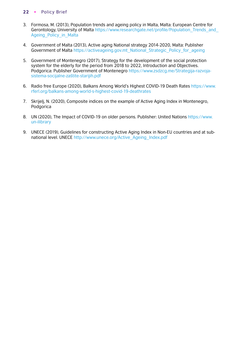- 3. Formosa, M. (2013), Population trends and ageing policy in Malta, Malta: European Centre for Gerontology, University of Malta https://www.researchgate.net/profile/Population Trends and Ageing Policy in Malta
- 4. Government of Malta (2013), Active aging National strategy 2014-2020, Malta: Publisher Government of Malta https://activeageing.gov.mt National Strategic Policy for ageing
- 5. Government of Montenegro (2017), Strategy for the development of the social protection system for the elderly for the period from 2018 to 2022, Introduction and Objectives. [Podgorica: Publisher Government of Montenegro https://www.zsdzcg.me/Strategija-razvoja](https://www.zsdzcg.me/images/Biblioteka/Strategija%20razvoja%20sistema%20socijalne%20za%C5%A1tite%20starijih%20za%20period%202018.%20do%202022.%20godine.pdf)sistema-socijalne-zaštite-starijih.pdf
- 6. Radio free Europe (2020), Balkans Among World's Highest COVID-19 Death Rates [https://www.](https://www.rferl.org/a/balkans-among-world-s-highest-covid-19-death-rates/31024764.html) [rferl.org/balkans-among-world-s-highest-covid-19-deathrates](https://www.rferl.org/a/balkans-among-world-s-highest-covid-19-death-rates/31024764.html)
- 7. Skrijelj, N. (2020), Composite indices on the example of Active Aging Index in Montenegro, Podgorica
- 8. [UN \(2020\), The Impact of COVID-19 on older persons. Publisher: United Nations https://www.](https://www.un-ilibrary.org/content/papers/27082245/7) un-ilibrary
- 9. UNECE (2019), Guidelines for constructing Active Aging Index in Non-EU countries and at subnational level. UNECE [http://www.unece.org/Active\\_Ageing\\_Index.pdf](https://unece.org/fileadmin/DAM/pau/age/Active_Ageing_Index/AAI_Guidelines_final.pdf)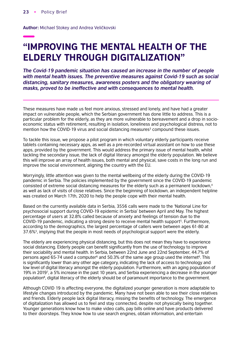**Author:** Michael Stokey and Andrea Veličkovski

# "IMPROVING THE MENTAL HEALTH OF THE ELDERLY THROUGH DIGITALIZATION"

*The Covid-19 pandemic situation has caused an increase in the number of people with mental health issues. The preventive measures against Covid-19 such as social distancing, sanitary measures, awareness posters and the obligatory wearing of masks, proved to be ineffective and with consequences to mental health.*

These measures have made us feel more anxious, stressed and lonely, and have had a greater impact on vulnerable people, which the Serbian government has done little to address. This is a particular problem for the elderly, as they are more vulnerable to bereavement and a drop in socioeconomic status with retirement, resulting in isolation, loneliness and psychological distress, not to mention how the COVID-19 virus and social distancing measures<sup>3</sup> compound these issues.

To tackle this issue, we propose a pilot program in which voluntary elderly participants receive tablets containing necessary apps, as well as a pre-recorded virtual assistant on how to use these apps, provided by the government. This would address the primary issue of mental health, whilst tackling the secondary issue, the lack of digital literacy amongst the elderly population. We believe this will improve an array of health issues, both mental and physical, save costs in the long run and improve the social environment, aligning the country with the EU.

Worryingly, little attention was given to the mental wellbeing of the elderly during the COVID-19 pandemic in Serbia. The policies implemented by the government since the COVID-19 pandemic consisted of extreme social distancing measures for the elderly such as a permanent lockdown,<sup>4</sup> as well as lack of visits of close relatives. Since the beginning of lockdown, an independent helpline was created on March 17th, 2020 to help the people cope with their mental health.

Based on the currently available data in Serbia, 3556 calls were made to the 'National Line for psychosocial support during COVID-19 epidemic in Serbia' between April and May. The highest percentage of users at 32.8% called because of anxiety and feelings of tension due to the COVID-19 pandemic, indicating a strong desire to receive mental health support<sup>5</sup>. Furthermore, according to the demographics, the largest percentage of callers were between ages 61-80 at 37.6%5, implying that the people in most needs of psychological support were the elderly.

The elderly are experiencing physical distancing, but this does not mean they have to experience social distancing. Elderly people can benefit significantly from the use of technology to improve their sociability and mental health. In Serbia, between 22nd June and 22nd September, 44.7% of persons aged 65-74 used a computer<sup>6</sup> and 50.3% of the same age group used the internet<sup>6</sup>. This is significantly lower than any other age category, indicating the lack of access to technology and low level of digital literacy amongst the elderly population. Furthermore, with an aging population of 19% in 20197, a 5% increase in the past 10 years, and Serbia experiencing a decrease in the younger population<sup>8</sup>, digital literacy of the elderly should be of paramount importance to the government.

Although COVID 19 is affecting everyone, the digitalized younger generation is more adaptable to lifestyle changes introduced by the pandemic. Many have not been able to see their close relatives and friends. Elderly people lack digital literacy, missing the benefits of technology. The emergence of digitalization has allowed us to feel and stay connected, despite not physically being together. Younger generations know how to make video calls, pay bills online and have products delivered to their doorsteps. They know how to use search engines, obtain information, and entertain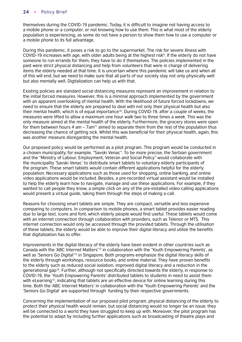themselves during the COVID-19 pandemic. Today, it is difficult to imagine not having access to a mobile phone or a computer, or not knowing how to use them. This is what most of the elderly population is experiencing, as some do not have a person to show them how to use a computer or a mobile phone to its full advantage.

During this pandemic, it poses a risk to go to the supermarket. The risk for severe illness with COVID-19 increases with age, with older adults being at the highest risk<sup>9</sup>. If the elderly do not have someone to run errands for them, they have to do it themselves. The policies implemented in the past were strict physical distancing and help from volunteers that were in charge of delivering items the elderly needed at that time. It is uncertain where this pandemic will take us and when all of this will end, but we need to make sure that all parts of our society stay not only physically well but also mentally well. Digitalization can help us with that.

Existing policies are standard social distancing measures represent an improvement in relation to the initial forced measures. However, this is a minimal approach implemented by the government with an apparent overlooking of mental health. With the likelihood of future forced lockdowns, we need to ensure that the elderly are prepared to deal with not only their physical health but also their mental health, which is of equal importance<sup>10</sup>. During COVID-19, after a couple of weeks, the measures were lifted to allow a maximum one hour walk two to three times a week. This was the only measure aimed at the mental health of the elderly. Furthermore, the grocery stores were open for them between hours  $4 \text{ am} - 7 \text{am}^{\text{11}}$  aimed to separate them from the rest of the population thus decreasing the chance of getting sick. Whilst this was beneficial for their physical health, again, this was another measure disregarding the mental health.

Our proposed policy would be performed as a pilot program. This program would be conducted in a chosen municipality, for example, "Savski Venac". To be more precise, the Serbian government and the "Ministry of Labour, Employment, Veteran and Social Policy" would collaborate with the municipality 'Savski Venac' to distribute smart tablets to voluntary elderly participants of the program. These smart tablets would contain different applications helpful for the elderly population. Necessary applications such as those used for shopping, online banking, and online video applications would be included. Besides, a pre-recorded virtual assistant would be installed to help the elderly learn how to navigate, manage and use these applications. For example, if they wanted to call people they know, a simple click on any of the pre-installed video calling applications would present a virtual guide, taking them through the steps of making a call.

Reasons for choosing smart tablets are simple. They are compact, versatile and less expensive comparing to computers. In comparison to mobile phones, a smart tablet provides easier reading due to large text, icons and font, which elderly people would find useful. These tablets would come with an internet connection through collaboration with providers, such as Telenor or MTS. This internet connection would only be accessed through the provided tablets. Through the utilisation of these tablets, the elderly would be able to improve their digital literacy and utilize the benefits that digitalization has to offer.

Improvements in the digital literacy of the elderly have been evident in other countries such as Canada with the 'ABC Internet Matters'12 in collaboration with the 'Youth Empowering Parents', as well as 'Seniors Go Digital'<sup>13</sup> in Singapore. Both programs emphasize the digital literacy skills of the elderly through workshops, resource books, and online material. They have proven benefits to the elderly such as reduced social isolation, improved digital literacy and a reduction in the generational gap14. Further, although not specifically directed towards the elderly, in response to COVID-19, the 'Youth Empowering Parents' distributed tablets to students in need to assist them with eLearning<sup>15</sup>, indicating that tablets are an effective device for online learning during this time. Both the 'ABC Internet Matters' in collaboration with the 'Youth Empowering Parents' and the 'Seniors Go Digital' are supported through funding by their respective governments.

Concerning the implementation of our proposed pilot program, physical distancing of the elderly to protect their physical health would remain, but social distancing would no longer be an issue; they will be connected to a world they have struggled to keep up with. Moreover, the pilot program has the potential to adapt by including further applications such as broadcasting of theatre plays and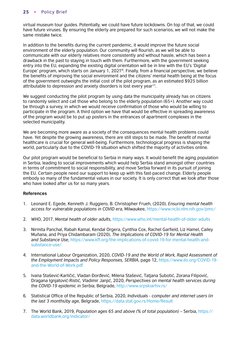virtual museum tour guides. Potentially, we could have future lockdowns. On top of that, we could have future viruses. By ensuring the elderly are prepared for such scenarios, we will not make the same mistake twice.

In addition to the benefits during the current pandemic, it would improve the future social environment of the elderly population. Our community will flourish, as we will be able to communicate with our elderly relatives more consistently and without hassle, which has been a drawback in the past to staying in touch with them. Furthermore, with the government seeking entry into the EU, expanding the existing digital orientation will be in line with the EU's 'Digital Europe' program, which starts on January 1, 202116. Finally, from a financial perspective, we believe the benefits of improving the social environment and the citizens' mental health being at the focus of the government outweighs the initial cost of the pilot program, as an estimated \$925 billion attributable to depression and anxiety disorders is lost every year<sup>17</sup>.

We suggest conducting the pilot program by using data the municipality already has on citizens to randomly select and call those who belong to the elderly population (65+). Another way could be through a survey, in which we would receive confirmation of those who would be willing to participate in the program. A third option we have that would be effective in spreading awareness of the program would be to put up posters in the entrances of apartment complexes in the selected municipality.

We are becoming more aware as a society of the consequences mental health problems could have. Yet despite the growing awareness, there are still steps to be made. The benefit of mental healthcare is crucial for general well-being. Furthermore, technological progress is shaping the world, particularly due to the COVID-19 situation which shifted the majority of activities online.

Our pilot program would be beneficial to Serbia in many ways. It would benefit the aging population in Serbia, leading to social improvements which would help Serbia stand amongst other countries in terms of commitment to social responsibility, and move Serbia forward in its pursuit of joining the EU. Certain people need our support to keep up with this fast-paced change. Elderly people embody so many of the fundamental values in our society. It is only correct that we look after those who have looked after us for so many years.

- 1. Leonard E. Egede, Kenneth J. Ruggiero, B. Christopher Frueh, (2020), *Ensuring mental health access for vulnerable populations in COVID era*, Milwaukee, [https://www.ncbi.nlm.nih.gov/pmc/](https://www.ncbi.nlm.nih.gov/pmc/articles/PMC7360513/)
- 2. WHO, 2017, *Mental health of older adults*, [https://www.who.int/mental-health-of-older-adults](https://www.who.int/news-room/fact-sheets/detail/mental-health-of-older-adults)
- 3. Nirmita Panchal, Rabah Kamal, Kendal Orgera, Cynthia Cox, Rachel Garfield, Liz Hamel, Cailey Muñana, and Priya Chidambaram (2020), *The Implications of COVID-19 for Mental Health and Substance Use*, [https://www.kff.org/the-implications-of-covid-19-for-mental-health-and](https://www.kff.org/coronavirus-covid-19/issue-brief/the-implications-of-covid-19-for-mental-health-and-substance-use/)[substance-use/](https://www.kff.org/coronavirus-covid-19/issue-brief/the-implications-of-covid-19-for-mental-health-and-substance-use/)
- 4. International Labour Organization, 2020, *COVID-19 and the World of Work, Rapid Assessment of the Employment Impacts and Policy Responses, SERBIA*, page 12, [https://www.ilo.org/COVID-19](https://www.ilo.org/wcmsp5/groups/public/---europe/---ro-geneva/---sro-budapest/documents/publication/wcms_754624.pdf) [and-the-World-of-Work.pdf](https://www.ilo.org/wcmsp5/groups/public/---europe/---ro-geneva/---sro-budapest/documents/publication/wcms_754624.pdf)
- 5. Ivana Stašević-Karličić, Vladan Đorđević, Milena Stašević, Tatjana Subotić, Zorana Filipović, Dragana Ignjatović-Ristić, Vladimir Janjić, 2020, *Perspectives on mental health services during the COVID-19 epidemic in Serbia*, Belgrade, [http://www.srpskiarhiv.rs/](http://www.srpskiarhiv.rs/dotAsset/79910)
- 6. Statistical Office of the Republic of Serbia, 2020, *Individuals computer and internet users (in the last 3 months)by age*, Belgrade, [https://data.stat.gov.rs/Home/Result](https://data.stat.gov.rs/Home/Result/270205?languageCode=en-US)
- 7. The World Bank, 2019, *Population ages 65 and above (% of total population)* Serbia, [https://](https://data.worldbank.org/indicator/SP.POP.65UP.TO.ZS?locations=RS) [data.worldbank.org/indicator/](https://data.worldbank.org/indicator/SP.POP.65UP.TO.ZS?locations=RS)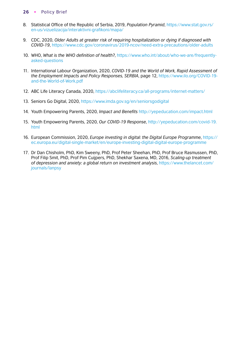- 8. Statistical Office of the Republic of Serbia, 2019, *Population Pyramid*, https://www.stat.gov.rs/ en-us/vizuelizacija/interaktivni-grafikoni/mapa/
- 9. CDC, 2020, *Older Adults at greater risk of requiring hospitalization or dying if diagnosed with COVID-19*, [https://www.cdc.gov/coronavirus/2019-ncov/need-extra-precautions/older-adults](https://www.cdc.gov/coronavirus/2019-ncov/need-extra-precautions/older-adults.html#:~:text=The%20risk%20for%20severe%20illness,older%20adults%20at%20highest%20risk.&text=need%20to%20know-,Risk%20for%20severe%20illness%20with%20COVID%2D19%20increases%20with%20age,increase%20risk%20for%20severe%20illness)
- 10. WHO, *What is the WHO definition of health?*, https://www.who.int/about/who-we-are/frequentlyasked-questions
- 11. International Labour Organization, 2020, *COVID-19 and the World of Work, Rapid Assessment of the Employment Impacts and Policy Responses, SERBIA*, page 12, [https://www.ilo.org/COVID-19](https://www.ilo.org/wcmsp5/groups/public/---europe/---ro-geneva/---sro-budapest/documents/publication/wcms_754624.pdf) [and-the-World-of-Work.pdf](https://www.ilo.org/wcmsp5/groups/public/---europe/---ro-geneva/---sro-budapest/documents/publication/wcms_754624.pdf)
- 12. ABC Life Literacy Canada, 2020, https://abclifeliteracy.ca/all-programs/internet-matters/
- 13. Seniors Go Digital, 2020, https://www.imda.gov.sg/en/seniorsgodigital
- 14. Youth Empowering Parents, 2020, *Impact and Benefits* http://yepeducation.com/impact.html
- 15. Youth Empowering Parents, 2020, *Our COVID-19 Response*, [http://yepeducation.com/covid-19.](http://yepeducation.com/covid-19.html) [html](http://yepeducation.com/covid-19.html)
- 16. European Commission, 2020, *Europe investing in digital: the Digital Europe Programme*, [https://](https://ec.europa.eu/digital-single-market/en/europe-investing-digital-digital-europe-programme) [ec.europa.eu/digital-single-market/en/europe-investing-digital-digital-europe-programme](https://ec.europa.eu/digital-single-market/en/europe-investing-digital-digital-europe-programme)
- 17. Dr Dan Chisholm, PhD, Kim Sweeny, PhD, Prof Peter Sheehan, PhD, Prof Bruce Rasmussen, PhD, Prof Filip Smit, PhD, Prof Pim Cuijpers, PhD, Shekhar Saxena, MD, 2016, *Scaling-up treatment of depression and anxiety: a global return on investment analysis*, [https://www.thelancet.com/](https://www.thelancet.com/journals/lanpsy/article/PIIS2215-0366(16)30024-4/fulltext) [journals/lanpsy](https://www.thelancet.com/journals/lanpsy/article/PIIS2215-0366(16)30024-4/fulltext)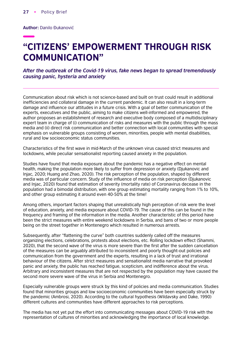**Author:** Danilo Đukanović

# "CITIZENS' EMPOWERMENT THROUGH RISK COMMUNICATION"

*After the outbreak of the Covid-19 virus, fake news began to spread tremendously causing panic, hysteria and anxiety*

Communication about risk which is not science-based and built on trust could result in additional inefficiencies and collateral damage in the current pandemic. It can also result in a long-term damage and influence our attitudes in a future crisis. With a goal of better communication of the experts, executives and the public, aiming to make citizens well-informed and empowered, the author proposes an establishment of research and executive body composed of a multidisciplinary expert team in charge of (i) communication of risks and measures with the public through the mass media and (ii) direct risk communication and better connection with local communities with special emphasis on vulnerable groups consisting of women, minorities, people with mental disabilities, rural and low socioeconomic status communities.

Characteristics of the first wave in mid-March of the unknown virus caused strict measures and lockdowns, while peculiar sensationalist reporting caused anxiety in the population.

Studies have found that media exposure about the pandemic has a negative effect on mental health, making the population more likely to suffer from depression or anxiety (Djukanovic and Injac, 2020; Huang and Zhao, 2020). The risk perception of the population, shaped by different media was of particular concern. Study of the influence of media on risk perception (Djukanovic and Injac, 2020) found that estimation of severity (mortality rate) of Coronavirus decease in the population had a bimodal distribution, with one group estimating mortality ranging from 1% to 10%, and other group estimating it around even 40-50% at the time!

Among others, important factors shaping that unrealistically high perception of risk were the level of education, anxiety, and media exposure about COVID-19. The cause of this can be found in the frequency and framing of the information in the media. Another characteristic of this period have been the strict measures with entire weekend lockdowns in Serbia, and bans of two or more people being on the street together in Montenegro which resulted in numerous arrests.

Subsequently, after "flattening the curve" both countries suddenly called off the measures organizing elections, celebrations, protests about elections, etc. Rolling lockdown effect (Shammi, 2020), that the second wave of the virus is more severe than the first after the sudden cancellation of the measures can be arguably attributed to inconsistent and poorly thought-out policies and communication from the government and the experts, resulting in a lack of trust and irrational behaviour of the citizens. After strict measures and sensationalist media narrative that provoked panic and anxiety, the public has reached fatigue, scepticism, and indifference about the virus. Arbitrary and inconsistent measures that are not respected by the population may have caused the second more severe wave of the virus in Serbia and Montenegro.

Especially vulnerable groups were struck by this kind of policies and media communication. Studies found that minorities groups and low socioeconomic communities have been especially struck by the pandemic (Ambrosi, 2020). According to the cultural hypothesis (Wildavsky and Dake, 1990) different cultures and communities have different approaches to risk perceptions.

The media has not yet put the effort into communicating messages about COVID-19 risk with the representation of cultures of minorities and acknowledging the importance of local knowledge.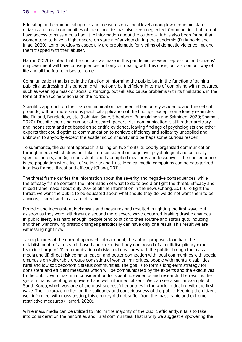Educating and communicating risk and measures on a local level among low economic status citizens and rural communities of the minorities has also been neglected. Communities that do not have access to mass media had little information about the outbreak. It has also been found that women tend to have a higher score on state a of anxiety during the pandemic (Djukanovic and Injac, 2020). Long lockdowns especially are problematic for victims of domestic violence, making them trapped with their abuser.

Harrari (2020) stated that the choices we make in this pandemic between repression and citizens' empowerment will have consequences not only on dealing with this crisis, but also on our way of life and all the future crises to come.

Communication that is not in the function of informing the public, but in the function of gaining publicity, addressing this pandemic will not only be inefficient in terms of complying with measures, such as wearing a mask or social distancing, but will also cause problems with its finalization, in the form of the vaccine which is on the horizon.

Scientific approach on the risk communication has been left on purely academic and theoretical grounds, without more serious practical application of the findings, except some lonely examples like Finland, Bangladesh, etc. (Lohiniva, Sane, Sibenberg, Puumalainen and Salminen, 2020; Shammi, 2020). Despite the rising number of research papers, risk communication is still rather arbitrary and inconsistent and not based on scientific evidence, leaving findings of psychologists and other experts that could optimize communication to achieve efficiency and solidarity unapplied and unknown to anybody except the academic community and perhaps some curious reader.

To summarize, the current approach is failing on two fronts: (i) poorly organized communication through media, which does not take into consideration cognitive, psychological and culturally specific factors, and (ii) inconsistent, poorly complied measures and lockdowns. The consequence is the population with a lack of solidarity and trust. Medical media campaigns can be categorized into two frames: threat and efficacy (Chang, 2011).

The threat frame carries the information about the severity and negative consequences, while the efficacy frame contains the information of what to do to avoid or fight the threat. Efficacy and mixed frame make about only 20% of all the information in the news (Chang, 2011). To fight the threat, we want the public to be educated about what should they do, we do not want them to be anxious, scared, and in a state of panic.

Periodic and inconsistent lockdowns and measures had resulted in fighting the first wave, but as soon as they were withdrawn, a second more severe wave occurred. Making drastic changes in public lifestyle is hard enough, people tend to stick to their routine and status quo; inducing and then withdrawing drastic changes periodically can have only one result. This result we are witnessing right now.

Taking failures of the current approach into account, the author proposes to initiate the establishment of a research-based and executive body composed of a multidisciplinary expert team in charge of: (i) communication of risks and measures with the public through the mass media and (ii) direct risk communication and better connection with local communities with special emphasis on vulnerable groups consisting of women, minorities, people with mental disabilities, rural and low socioeconomic status communities. The goal is to form a long-term strategy for consistent and efficient measures which will be communicated by the experts and the executives to the public, with maximum consideration for scientific evidence and research. The result is the system that is creating empowered and well-informed citizens. We can see a similar example of South Korea, which was one of the most successful countries in the world in dealing with the first wave. Their approach relied on the solidarity and consciousness of the public. Keeping the citizens well-informed, with mass testing, this country did not suffer from the mass panic and extreme restrictive measures (Harrari, 2020).

While mass media can be utilized to inform the majority of the public efficiently, it fails to take into consideration the minorities and rural communities. That is why we suggest empowering the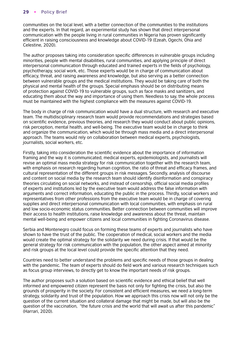communities on the local level, with a better connection of the communities to the institutions and the experts. In that regard, an experimental study has shown that direct interpersonal communication with the people living in rural communities in Nigeria has proven significantly efficient in raising consciousness and knowledge about COVID-19 (Ezeah, Ogechi, Ohia and Celestine, 2020).

The author proposes taking into consideration specific differences in vulnerable groups including minorities, people with mental disabilities, rural communities, and applying principle of direct interpersonal communication through educated and trained experts in the fields of psychology, psychotherapy, social work, etc. Those experts would be in charge of communication about efficacy, threat, and raising awareness and knowledge, but also serving as a better connection between vulnerable groups and the medical institutions. They would be taking care of both the physical and mental health of the groups. Special emphasis should be on distributing means of protection against COVID-19 to vulnerable groups, such as face masks and sanitizers, and educating them about the way and importance of using them. Needless to say, the whole process must be maintained with the highest compliance with the measures against COVID-19.

The body in charge of risk communication would have a dual structure, with research and executive team. The multidisciplinary research team would provide recommendations and strategies based on scientific evidence, previous theories, and research they would conduct about public opinions, risk perception, mental health, and well-being. The executive team would be in charge to think and organize the communication, which would be through mass media and a direct interpersonal approach. The teams would rely on collaboration between medical experts, psychologists, journalists, social workers, etc.

Firstly, taking into consideration the scientific evidence about the importance of information framing and the way it is communicated, medical experts, epidemiologists, and journalists will revise an optimal mass media strategy for risk communication together with the research team, with emphasis on research regarding human cognition, the ratio of threat and efficacy frames, and cultural representation of the different groups in risk messages. Secondly, analysis of discourse and content on social media by the research team should identify disinformation and conspiracy theories circulating on social networks, and instead of censorship, official social media profiles of experts and institutions led by the executive team would address the false information with arguments and correct information, educating the public in the process. Thirdly, social workers and representatives from other professions from the executive team would be in charge of covering supplies and direct interpersonal communication with local communities, with emphasis on rural and low socio-economic status communities. Better connection between communities will improve their access to health institutions, raise knowledge and awareness about the threat, maintain mental well-being and empower citizens and local communities in fighting Coronavirus disease.

Serbia and Montenegro could focus on forming these teams of experts and journalists who have shown to have the trust of the public. The cooperation of medical, social workers and the media would create the optimal strategy for the solidarity we need during crisis. If that would be the general strategy for risk communication with the population, the other aspect aimed at minority and risk groups at the local level could provide the specific attention that they need.

Countries need to better understand the problems and specific needs of those groups in dealing with the pandemic. The team of experts should do field work and various research techniques such as focus group interviews, to directly get to know the important needs of risk groups.

The author proposes such a solution based on scientific evidence and ethical belief that well informed and empowered citizen represent the basis not only for fighting the crisis, but also the grounds of prosperity in the society. For consistent and efficient measures, we need a long-term strategy, solidarity and trust of the population. How we approach this crisis now will not only be the question of the current situation and collateral damage that might be made, but will also be the question of the vaccination, "the future crisis and the world that will await us after this pandemic" (Harrari, 2020).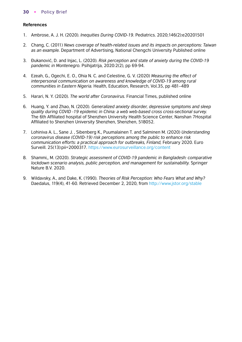- 1. Ambrose, A. J. H. (2020). *Inequities During COVID-19*. Pediatrics. 2020;146(2):e20201501
- 2. Chang, C. (2011) *News coverage of health-related issues and its impacts on perceptions: Taiwan as an example.* Department of Advertising, National Chengchi University Published online
- 3. Đukanović, D. and Injac, L. (2020). *Risk perception and state of anxiety during the COVID-19 pandemic in Montenegro.* Psihijatrija, 2020:2(2), pp 69-94.
- 4. Ezeah, G., Ogechi, E. O., Ohia N. C. and Celestine, G. V. (2020) *Measuring the effect of interpersonal communication on awareness and knowledge of COVID-19 among rural communities in Eastern Nigeria.* Health, Education, Research, Vol.35, pp 481–489
- 5. Harari, N. Y. (2020). *The world after Coronavirus.* Financial Times, published online
- 6. Huang, Y. and Zhao, N. (2020). *Generalized anxiety disorder, depressive symptoms and sleep quality during COVID -19 epidemic in China: a web web-based cross cross-sectional survey.* The 6th Affiliated hospital of Shenzhen University Health Science Center, Nanshan 7Hospital Affiliated to Shenzhen University Shenzhen, Shenzhen, 518052.
- 7. Lohiniva A. L., Sane J. , Sibenberg K., Puumalainen T. and Salminen M. (2020) *Understanding coronavirus disease (COVID-19) risk perceptions among the public to enhance risk communication efforts: a practical approach for outbreaks, Finland,* February 2020. Euro Surveill. 25(13):pii=200031[7. https://www.eurosurveillance.org/content](https://www.eurosurveillance.org/content/10.2807/1560-7917.ES.2020.25.13.2000317)
- 8. Shammi,, M. (2020). *Strategic assessment of COVID-19 pandemic in Bangladesh: comparative lockdown scenario analysis, public perception, and management for sustainability.* Springer Nature B.V. 2020.
- 9. Wildavsky, A., and Dake, K. (1990). *Theories of Risk Perception: Who Fears What and Why?* Daedalus, 119(4), 41-60. Retrieved December 2, 2020, from [http://www.jstor.org/stable](http://www.jstor.org/stable/20025337)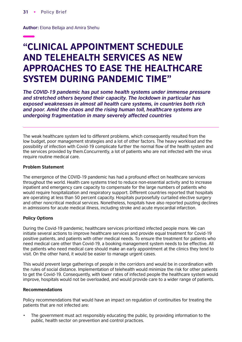**Author:** Elona Bellaja and Amira Shehu

# "CLINICAL APPOINTMENT SCHEDULE AND TELEHEALTH SERVICES AS NEW APPROACHES TO EASE THE HEALTHCARE SYSTEM DURING PANDEMIC TIME"

*The COVID-19 pandemic has put some health systems under immense pressure and stretched others beyond their capacity. The lockdown in particular has exposed weaknesses in almost all health care systems, in countries both rich and poor. Amid the chaos and the rising human toll, healthcare systems are undergoing fragmentation in many severely affected countries*

The weak healthcare system led to different problems, which consequently resulted from the low budget, poor management strategies and a lot of other factors. The heavy workload and the possibility of infection with Covid-19 complicate further the normal flow of the health system and the services provided by them.Concurrently, a lot of patients who are not infected with the virus require routine medical care.

### **Problem Statement**

The emergence of the COVID-19 pandemic has had a profound effect on healthcare services throughout the world. Health care systems tried to reduce non-essential activity and to increase inpatient and emergency care capacity to compensate for the large numbers of patients who would require hospitalization and respiratory support. Different countries reported that hospitals are operating at less than 50 percent capacity. Hospitals purposefully curtailed elective surgery and other noncritical medical services. Nonetheless, hospitals have also reported puzzling declines in admissions for acute medical illness, including stroke and acute myocardial infarction.

#### **Policy Options**

During the Covid-19 pandemic, healthcare services prioritized infected people more. We can initiate several actions to improve healthcare services and provide equal treatment for Covid-19 positive patients, and patients with other medical needs. To ensure the treatment for patients who need medical care other than Covid-19, a booking management system needs to be effective. All the patients who need medical care should make an early appointment at the clinics they tend to visit. On the other hand, it would be easier to manage urgent cases.

This would prevent large gatherings of people in the corridors and would be in coordination with the rules of social distance. Implementation of telehealth would minimize the risk for other patients to get the Covid-19. Consequently, with lower rates of infected people the healthcare system would improve, hospitals would not be overloaded, and would provide care to a wider range of patients.

#### **Recommendations**

Policy recommendations that would have an impact on regulation of continuities for treating the patients that are not infected are:

• The government must act responsibly educating the public, by providing information to the public, health sector on prevention and control practices.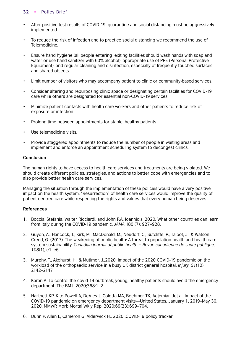- After positive test results of COVID-19, quarantine and social distancing must be aggressively implemented.
- To reduce the risk of infection and to practice social distancing we recommend the use of Telemedicine.
- Ensure hand hygiene (all people entering exiting facilities should wash hands with soap and water or use hand sanitizer with 60% alcohol), appropriate use of PPE (Personal Protective Equipment), and regular cleaning and disinfection, especially of frequently touched surfaces and shared objects.
- Limit number of visitors who may accompany patient to clinic or community-based services.
- Consider altering and repurposing clinic space or designating certain facilities for COVID-19 care while others are designated for essential non-COVID-19 services.
- Minimize patient contacts with health care workers and other patients to reduce risk of exposure or infection.
- Prolong time between appointments for stable, healthy patients.
- Use telemedicine visits.
- Provide staggered appointments to reduce the number of people in waiting areas and implement and enforce an appointment scheduling system to decongest clinics.

### **Conclusion**

The human rights to have access to health care services and treatments are being violated. We should create different policies, strategies, and actions to better cope with emergencies and to also provide better health care services.

Managing the situation through the implementation of these policies would have a very positive impact on the health system. "Resurrection" of health care services would improve the quality of patient-centred care while respecting the rights and values that every human being deserves.

- 1. Boccia, Stefania, Walter Ricciardi, and John P.A. Ioannidis. 2020. What other countries can learn from Italy during the COVID-19 pandemic. *JAMA* 180 (7): 927–928.
- 2. Guyon, A., Hancock, T., Kirk, M., MacDonald, M., Neudorf, C., Sutcliffe, P., Talbot, J., & Watson-Creed, G. (2017). The weakening of public health: A threat to population health and health care system sustainability. *Canadian journal of public health = Revue canadienne de sante publique, 108*(1), e1–e6.
- 3. Murphy, T., Akehurst, H., & Mutimer, J.,2020. Impact of the 2020 COVID-19 pandemic on the workload of the orthopaedic service in a busy UK district general hospital. *Injury, 51*(10), 2142–2147
- 4. Karan A. To control the covid-19 outbreak, young, healthy patients should avoid the emergency department. The BMJ. 2020;368:1–2.
- 5. Hartnett KP, Kite-Powell A, DeVies J, Coletta MA, Boehmer TK, Adjemian Jet al. Impact of the COVID-19 pandemic on emergency department visits—United States, January 1, 2019–May 30, 2020. MMWR Morb Mortal Wkly Rep. 2020;69(23):699–704.
- 6. Dunn P, Allen L, Cameron G, Alderwick H., 2020 .COVID-19 policy tracker.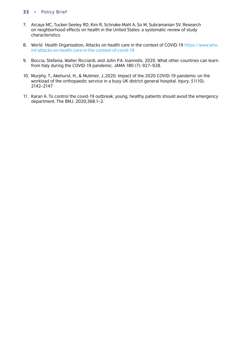- 7. Arcaya MC, Tucker-Seeley RD, Kim R, Schnake-Mahl A, So M, Subramanian SV. Research on neighborhood effects on health in the United States: a systematic review of study characteristics
- 8. World Health Organization, Attacks on health care in the context of COVID-19 [https://www.who.](https://www.who.int/news-room/feature-stories/detail/attacks-on-health-care-in-the-context-of-covid-19) [int/attacks-on-health-care-in-the-context-of-covid-19](https://www.who.int/news-room/feature-stories/detail/attacks-on-health-care-in-the-context-of-covid-19)
- 9. Boccia, Stefania, Walter Ricciardi, and John P.A. Ioannidis. 2020. What other countries can learn from Italy during the COVID-19 pandemic. JAMA 180 (7): 927–928.
- 10. Murphy, T., Akehurst, H., & Mutimer, J.,2020. Impact of the 2020 COVID-19 pandemic on the workload of the orthopaedic service in a busy UK district general hospital. *Injury, 51*(10), 2142–2147
- 11. Karan A. To control the covid-19 outbreak, young, healthy patients should avoid the emergency department. The BMJ. 2020;368:1–2.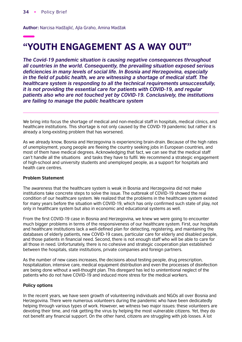**Author:** Narcisa Hadžajlić, Ajla Graho, Amina Madžak

# "YOUTH ENGAGEMENT AS A WAY OUT"

*The Covid-19 pandemic situation is causing negative consequences throughout all countries in the world. Consequently, the prevailing situation exposed serious*  deficiencies in many levels of social life. In Bosnia and Herzegovina, especially in the field of public health, we are witnessing a shortage of medical staff. The *healthcare system is responding to all the technical requirements unsuccessfully, it is not providing the essential care for patients with COVID-19, and regular patients also who are not touched yet by COVID-19. Conclusively, the institutions are failing to manage the public healthcare system*

We bring into focus the shortage of medical and non-medical staff in hospitals, medical clinics, and healthcare institutions. This shortage is not only caused by the COVID-19 pandemic but rather it is already a long-existing problem that has worsened.

As we already know, Bosnia and Herzegovina is experiencing brain-drain. Because of the high rates of unemployment, young people are fleeing the country seeking jobs in European countries, and most of them have medical degrees. Acknowledging that fact, we can see that the medical staff can't handle all the situations and tasks they have to fulfil. We recommend a strategic engagement of high-school and university students and unemployed people, as a support for hospitals and health care centres.

#### **Problem Statement**

The awareness that the healthcare system is weak in Bosnia and Herzegovina did not make institutions take concrete steps to solve the issue. The outbreak of COVID-19 showed the real condition of our healthcare system. We realized that the problems in the healthcare system existed for many years before the situation with COVID-19, which has only confirmed such state of play, not only in healthcare system but also in economic and educational systems as well.

From the first COVID-19 case in Bosnia and Herzegovina, we knew we were going to encounter much bigger problems in terms of the responsiveness of our healthcare system. First, our hospitals and healthcare institutions lack a well-defined plan for detecting, registering, and maintaining the databases of elderly patients, new COVID-19 cases, particular care for elderly and disabled people, and those patients in financial need. Second, there is not enough staff who will be able to care for all those in need. Unfortunately, there is no cohesive and strategic cooperation plan established between the hospitals, state institutions, private companies and foreign partners.

As the number of new cases increases, the decisions about testing people, drug prescription, hospitalization, intensive care, medical equipment distribution and even the processes of disinfection are being done without a well-thought plan. This disregard has led to unintentional neglect of the patients who do not have COVID-19 and induced more stress for the medical workers.

#### **Policy options**

In the recent years, we have seen growth of volunteering individuals and NGOs all over Bosnia and Herzegovina. There were numerous volunteers during the pandemic who have been dedicatedly helping through various types of work. However, we witness two major issues: these volunteers are devoting their time, and risk getting the virus by helping the most vulnerable citizens. Yet, they do not benefit any financial support. On the other hand, citizens are struggling with job losses. A lot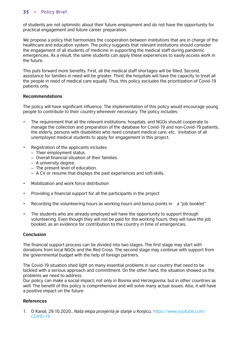of students are not optimistic about their future employment and do not have the opportunity for practical engagement and future career preparation.

We propose a policy that harmonizes the cooperation between institutions that are in charge of the healthcare and education system. The policy suggests that relevant institutions should consider the engagement of all students of medicine in supporting the medical staff during pandemic emergencies. As a result, the same students can apply these experiences to easily access work in the future.

This puts forward more benefits. First, all the medical staff shortages will be filled. Second, assistance for families in need will be greater. Third, the hospitals will have the capacity to treat all the people in need of medical care equally. Thus, this policy excludes the prioritization of Covid-19 patients only.

# **Recommendations**

The policy will have significant influence. The implementation of this policy would encourage young people to contribute to their country whenever necessary. The policy includes:

- The requirement that all the relevant institutions, hospitals, and NGOs should cooperate to manage the collection and preparation of the database for Covid-19 and non-Covid-19 patients, the elderly, persons with disabilities who need constant medical care, etc. Invitation of all unemployed medical students to apply for engagement in this project.
- Registration of the applicants includes:
	- Their employment status.
	- Overall financial situation of their families.
	- A university degree.
	- The present level of education.
	- A CV or resume that displays the past experiences and soft-skills.
- Mobilization and work force distribution
- Providing a financial support for all the participants in the project
- Recording the volunteering hours as working hours and bonus points in a "job booklet"
- The students who are already employed will have the opportunity to support through volunteering. Even though they will not be paid for the working hours, they will have the job booklet, as an evidence for contribution to the country in time of emergencies.

#### **Conclusion**

The financial support process can be divided into two stages. The first stage may start with donations from local NGOs and the Red Cross. The second stage may continue with support from the governmental budget with the help of foreign partners.

The Covid-19 situation shed light on many essential problems in our country that need to be tackled with a serious approach and commitment. On the other hand, the situation showed us the problems we need to address.

Our policy can make a social impact; not only in Bosnia and Herzegovina, but in other countries as well. The benefit of this policy is comprehensive and will solve many actual issues. Also, it will have a positive impact on the future.

# **References**

1. O Kanal, 29.10.2020., *Naša ekipa provjerila je stanje u Konjicu,* [https://www.youtube.com/](https://www.youtube.com/watch?v=z9PKh1mLNnQ) [COVID-19](https://www.youtube.com/watch?v=z9PKh1mLNnQ)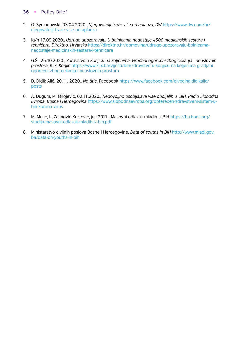- 2. G. Symanowski, 03.04.2020., *[Njegovatelji traže više od aplauza, DW](https://www.dw.com/hr/njegovatelji-tra%C5%BEe-vi%C5%A1e-od-aplauza/a-52990862)* https://www.dw.com/hr/ njegovatelji-traze-vise-od-aplauza
- 3. Ig/h 17.09.2020., *Udruge upozoravaju: U bolnicama nedostaje 4500 medicinskih sestara i tehničara, Direktno, Hrvatska* [https://direktno.hr/domovina/udruge-upozoravaju-bolnicama](https://direktno.hr/domovina/udruge-upozoravaju-bolnicama-nedostaje-4500-medicinskih-sestara-i-tehnicara-207667/)nedostaje-medicinskih-sestara-i-tehnicara
- 4. G.Š., 26.10.2020., *Zdravstvo u Konjicu na koljenima: Građani ogorčeni zbog čekanja i neuslovnih prostora, Klix, Konjic* [https://www.klix.ba/vijesti/bih/zdravstvo-u-konjicu-na-koljenima-gradjani](https://www.klix.ba/vijesti/bih/zdravstvo-u-konjicu-na-koljenima-gradjani-ogorceni-zbog-cekanja-i-neuslovnih-prostora/201026142)[ogorceni-zbog-cekanja-i-neuslovnih-prostora](https://www.klix.ba/vijesti/bih/zdravstvo-u-konjicu-na-koljenima-gradjani-ogorceni-zbog-cekanja-i-neuslovnih-prostora/201026142)
- 5. D. Didik Alić, 20.11. 2020., *No title,* Facebook [https://www.facebook.com/elvedina.didikalic/](https://www.facebook.com/elvedina.didikalic/posts/3666716066723354) [posts](https://www.facebook.com/elvedina.didikalic/posts/3666716066723354)
- 6. A. Đugum, M. Milojević, 02.11.2020., *Nedovoljno osoblja,sve više oboljelih u BiH, Radio Slobodna Evropa, Bosna i Hercegovina* [https://www.slobodnaevropa.org/opterecen-zdravstveni-sistem-u](https://www.slobodnaevropa.org/a/optere%C4%87en-zdravstveni-sistem-u-bih-korona-virus/30926259.html)bih-korona-virus
- 7. M. Mujić, L. Zaimović Kurtović, juli 2017., Masovni odlazak mladih iz BiH [https://ba.boell.org/](https://ba.boell.org/sites/default/files/studija-masovni-odlazak-mladih-iz-bih.pdf) [studija-masovni-odlazak-mladih-iz-bih.pdf](https://ba.boell.org/sites/default/files/studija-masovni-odlazak-mladih-iz-bih.pdf)
- 8. Ministarstvo civilnih poslova Bosne i Hercegovine, *Data of Youths in BiH* [http://www.mladi.gov.](http://www.mladi.gov.ba/index.php?option=com_content&task=view&id=46&Itemid=34) [ba/data-on-youths-in-bih](http://www.mladi.gov.ba/index.php?option=com_content&task=view&id=46&Itemid=34)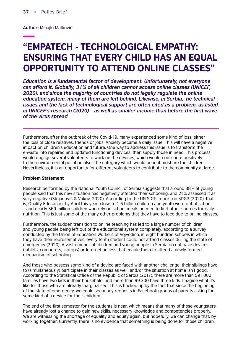**Author:** Mihajlo Matković

# "EMPATECH - TECHNOLOGICAL EMPATHY: ENSURING THAT EVERY CHILD HAS AN EQUAL OPPORTUNITY TO ATTEND ONLINE CLASSES"

*Education is a fundamental factor of development. Unfortunately, not everyone can afford it. Globally, 31% of all children cannot access online classes (UNICEF, 2020), and since the majority of countries do not legally regulate the online education system, many of them are left behind. Likewise, in Serbia, he technical issues and the lack of technological support are often cited as a problem, as listed*  in UNICEF's research (2020) – as well as smaller income than before the first wave *of the virus spread*

Furthermore, after the outbreak of the Covid-19, many experienced some kind of loss; either the loss of close relatives, friends or jobs. Anxiety became a daily issue. This will have a negative impact on children's education and future. One way to address this issue is to transform the e-waste into repaired and updated functioning devices, then supply those in need. This process would engage several volunteers to work on the devices, which would contribute positively to the environmental pollution also. The category which would benefit most are the children. Nevertheless, it is an opportunity for different volunteers to contribute to the community at large.

#### **Problem Statement**

Research performed by the National Youth Council of Serbia suggests that around 38% of young people said that this new situation has negatively affected their schooling, and 21% assessed it as very negative (Stojanović & Vukov, 2020). According to the UN SDGs report on SDG3 (2020), that is, Quality Education, by April this year, close to 1.6 billion children and youth were out of school – and nearly 369 million children who rely on school meals needed to find other sources for daily nutrition. This is just some of the many other problems that they have to face due to online classes.

Furthermore, the sudden transition to online teaching has led to a large number of children and young people being left out of the educational system completely: according to a survey conducted by the Union of Education Workers of Vojvodina, in eight hundred schools in which they have their representatives, every tenth student could not attend classes during the state of emergency (2020). A vast number of children and young people in Serbia do not have devices (tablets, computers, laptops) or Internet access that enable them to attend a newly-formed mechanism of schooling.

And those who possess some kind of a device are faced with another challenge: their siblings have to (simultaneously) participate in their classes as well, and/or the situation at home isn't good. According to the Statistical Office of the Republic of Serbia (2017), there are more than 591.000 families have two kids in their household, and more than 99.300 have three kids. Imagine what it's like for those who are already marginalised. This is backed up by the fact that since the beginning of the state of emergency, we could see many requests in Facebook groups of parents asking for some kind of a device for their children.

The end of the first semester for the students is near, which means that many of those youngsters have already lost a chance to gain new skills, necessary knowledge and competencies properly. We are witnessing the shortage of equality and equity again, but hopefully, we can change that: by working together. Currently, there is no evidence that something is being done for those children.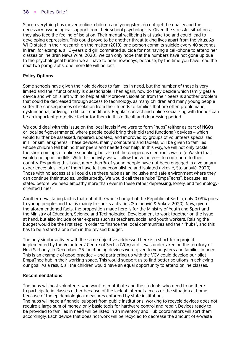Since everything has moved online, children and youngsters do not get the quality and the necessary psychological support from their school psychologists. Given the stressful situations, they also face the feeling of isolation. Their mental wellbeing is at stake too and could lead to developing depression. This could prove to be another threat taking lives apart from the virus. As WHO stated in their research on the matter (2019), one person commits suicide every 40 seconds. In Iran, for example, a 13-years old girl committed suicide for not having a cell-phone to attend her classes online (Iran News Wire, 2020). We can only hope that the numbers have not gone up due to the psychological burden we all have to bear nowadays, because, by the time you have read the next two paragraphs, one more life will be lost.

# **Policy Options**

Some schools have given their old devices to families in need, but the number of those is very limited and their functionality is questionable. Then again, how do they decide which family gets a device and which is left with no help at all? Moreover, isolation from their peers is another problem that could be decreased through access to technology, as many children and many young people suffer the consequences of isolation from their friends to families that are often problematic, dysfunctional, or living in difficult conditions. Regular contact and online socializing with friends can be an important protective factor for them in this difficult and depressing period.

We could deal with this issue on the local levels if we were to form "hubs" (either as part of NGOs or local self-governments) where people could bring their old (and functional) devices – which would further be assessed, repaired, updated, and improved by groups of volunteers specialized in IT or similar spheres. These devices, mainly computers and tablets, will be given to families whose children fell behind their peers and needed our help. In this way, we will not only tackle the shortcomings of online schooling, but also of the dangerous electronic waste (e-Waste) that would end up in landfills. With this activity, we will allow the volunteers to contribute to their country. Regarding this issue, more than ¾ of young people have not been engaged in a voluntary experience; plus, lots of them have felt unaccomplished and isolated (Ivković, Stojanović, 2020). Those with no access at all could use these hubs as an inclusive and safe environment where they can continue their studies, undisturbedly. We would call these hubs "EmpaTechs", because, as stated before, we need empathy more than ever in these rather depressing, lonely, and technologyoriented times.

Another devastating fact is that out of the whole budget of the Republic of Serbia, only 0.09% goes to young people: and that is mainly to sports activities (Stojanović & Vukov, 2020). Now, given the aforementioned facts, the proposition made here is for the Ministry of Youth and Sport and the Ministry of Education, Science and Technological Development to work together on the issue at hand, but also include other experts such as teachers, social and youth workers. Raising the budget would be the first step in order to finance the local communities and their "hubs", and this has to be a stand-alone item in the revised budget.

The only similar activity with the same objective addressed here is a short-term project implemented by the Volunteers' Centre of Serbia (VCV) and it was undertaken on the territory of Novi Sad only. In December, 25 functioning devices were given to youngsters and families in need. This is an example of good practice – and partnering up with the VCV could develop our pilot EmpaThec hub in their working space. This would support us to find better solutions in achieving our goal. As a result, all the children would have an equal opportunity to attend online classes.

# **Recommendations**

The hubs will host volunteers who want to contribute and the students who need to be there to participate in classes either because of the lack of internet access or the situation at home because of the epidemiological measures enforced by state institutions.

The hubs will need a financial support from public institutions. Working to recycle devices does not require a large sum of money, only basic tools for hardware control and repair. Devices ready to be provided to families in need will be listed in an inventory and Hub coordinators will sort them accordingly. Each device that does not work will be recycled to decrease the amount of e-Waste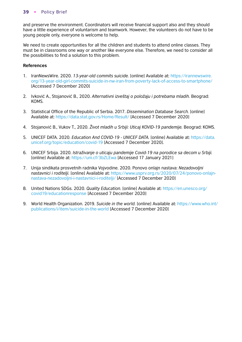and preserve the environment. Coordinators will receive financial support also and they should have a little experience of voluntarism and teamwork. However, the volunteers do not have to be young people only, everyone is welcome to help.

We need to create opportunities for all the children and students to attend online classes. They must be in classrooms one way or another like everyone else. Therefore, we need to consider all the possibilities to find a solution to this problem.

- 1. IranNewsWire. 2020. *13-year-old commits suicide.* [online] Available at: [https://irannewswire.](https://irannewswire.org/13-year-old-girl-commits-suicide-in-nw-iran-from-poverty-lack-of-access-to-smartphone/) [org/13-year-old-girl-commits-suicide-in-nw-iran-from-poverty-lack-of-access-to-smartphone/](https://irannewswire.org/13-year-old-girl-commits-suicide-in-nw-iran-from-poverty-lack-of-access-to-smartphone/) [Accessed 7 December 2020]
- 2. Ivković A., Stojanović B., 2020. *Alternativni izveštaj o položaju i potrebama mladih.* Beograd: KOMS.
- 3. Statistical Office of the Republic of Serbia. 2017. *Dissemination Database Search.* [online] Available at: [https://data.stat.gov.rs/Home/Result/](https://data.stat.gov.rs/Home/Result/3102020202?languageCode=en-US) [Accessed 7 December 2020]
- 4. Stojanović B., Vukov T., 2020. *Život mladih u Srbiji: Uticaj KOVID-19 pandemije.* Beograd: KOMS.
- 5. UNICEF DATA. 2020. *Education And COVID-19 UNICEF DATA.* [online] Available at: [https://data.](https://data.unicef.org/topic/education/covid-19/) [unicef.org/topic/education/covid-19](https://data.unicef.org/topic/education/covid-19/) [Accessed 7 December 2020].
- 6. UNICEF Srbija. 2020. *Istraživanje o uticaju pandemije Covid-19 na porodice sa decom u Srbiji.* [online] Available at: <https://uni.cf/3bZLEwa> [Accessed 17 January 2021]
- 7. Unija sindikata prosvetnih radnika Vojvodine. 2020. Ponovo onlajn nastava: *Nezadovoljni nastavnici i roditelji.* [\[online\] Available at: https://www.usprv.org.rs/2020/07/24/ponovo-onlajn](https://www.usprv.org.rs/ponovo-onlajn-nastava-nezadovoljni-i-nastavnici-i-roditelji/)nastava-nezadovoljni-i-nastavnici-i-roditelji/ [Accessed 7 December 2020]
- 8. United Nations SDGs. 2020. *Quality Education.* [online] Available at: [https://en.unesco.org/](https://en.unesco.org/covid19/educationresponse) [covid19/educationresponse](https://en.unesco.org/covid19/educationresponse) [Accessed 7 December 2020]
- 9. World Health Organization. 2019. *Suicide in the world.* [online] Available at: https://www.who.int/ publications/i/item/suicide-in-the-world [Accessed 7 December 2020]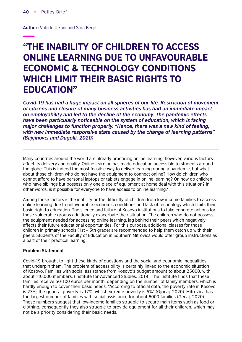**Author:** Vahide Ujkani and Sara Beqiri

# "THE INABILITY OF CHILDREN TO ACCESS ONLINE LEARNING DUE TO UNFAVOURABLE ECONOMIC & TECHNOLOGY CONDITIONS WHICH LIMIT THEIR BASIC RIGHTS TO EDUCATION"

*Covid-19 has had a huge impact on all spheres of our life. Restriction of movement of citizens and closure of many business activities has had an immediate impact on employability and led to the decline of the economy. The pandemic effects have been particularly noticeable on the system of education, which is facing major challenges to function properly. "Hence, there was a new kind of feeling, with new immediate responsive state caused by the change of learning patterns" (Bajçinovci and Dugolli, 2020)*

Many countries around the world are already practicing online learning, however, various factors affect its delivery and quality. Online learning has made education accessible to students around the globe. This is indeed the most feasible way to deliver learning during a pandemic, but what about those children who do not have the equipment to connect online? How do children who cannot afford to have personal laptops or tablets engage in online learning? Or, how do children who have siblings but possess only one piece of equipment at home deal with this situation? In other words, is it possible for everyone to have access to online learning?

Among these factors is the inability or the difficulty of children from low-income families to access online learning due to unfavourable economic conditions and lack of technology which limits their basic right to education. The silence and failure of Kosovo institutions to take concrete actions for those vulnerable groups additionally exacerbate their situation. The children who do not possess the equipment needed for accessing online learning, lag behind their peers which negatively affects their future educational opportunities. For this purpose, additional classes for those children in primary schools (1st  $-$  5th grade) are recommended to help them catch up with their peers. Students of the Faculty of Education in Southern Mitrovica would offer group instructions as a part of their practical learning.

# **Problem Statement**

Covid-19 brought to light these kinds of questions and the social and economic inequalities that underpin them. The problem of accessibility is certainly linked to the economic situation of Kosovo. Families with social assistance from Kosovo's budget amount to about 25000, with about 110.000 members, (Institute for Advanced Studies, 2019). The Institute finds that these families receive 50-100 euros per month, depending on the number of family members, which is hardly enough to cover their basic needs. "According to official data, the poverty rate in Kosovo is 23%; the general poverty is 17%, whilst extreme poverty is 5%" (Gjocaj, 2020). Mitrovica has the largest number of families with social assistance for about 6000 families (Gecaj, 2020). Those numbers suggest that low-income families struggle to secure main items such as food or clothing, consequently they also struggle to provide equipment for all their children, which may not be a priority considering their basic needs.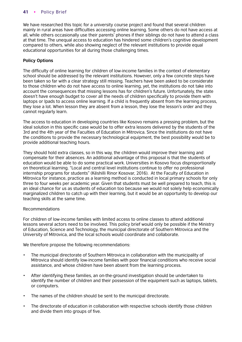We have researched this topic for a university course project and found that several children mainly in rural areas have difficulties accessing online learning. Some others do not have access at all, while others occasionally use their parents' phones if their siblings do not have to attend a class at that time. The unequal access to education has hindered some children's cognitive development compared to others, while also showing neglect of the relevant institutions to provide equal educational opportunities for all during those challenging times.

# **Policy Options**

The difficulty of online learning for children of low-income families in the context of elementary school should be addressed by the relevant institutions. However, only a few concrete steps have been taken so far with a clear strategy still missing. Teachers have been asked to be considerate to those children who do not have access to online learning, yet, the institutions do not take into account the consequences that missing lessons has for children's future. Unfortunately, the state doesn't have enough budget to cover all the needs of children specifically to provide them with laptops or Ipads to access online learning. If a child is frequently absent from the learning process, they lose a lot. When lesson they are absent from a lesson, they lose the lesson's order and they cannot regularly learn.

The access to education in developing countries like Kosovo remains a pressing problem, but the ideal solution in this specific case would be to offer extra lessons delivered by the students of the 3rd and the 4th year of the Faculties of Education in Mitrovica. Since the institutions do not have the conditions to provide the necessary technological equipment, the best possibility would be to provide additional teaching hours.

They should hold extra classes, so in this way, the children would improve their learning and compensate for their absences. An additional advantage of this proposal is that the students of education would be able to do some practical work. Universities in Kosovo focus disproportionally on theoretical learning. "Local and central level institutions continue to offer no professional internship programs for students" (Këshilli Rinor Kosovar, 2016). At the Faculty of Education in Mitrovica for instance, practice as a learning method is conducted in local primary schools for only three to four weeks per academic year. Given that students must be well prepared to teach, this is an ideal chance for us as students of education too because we would not solely help economically marginalized children to catch up with their learning, but it would be an opportunity to develop our teaching skills at the same time.

# Recommendations

For children of low-income families with limited access to online classes to attend additional lessons several actors need to be involved. This policy brief would only be possible if the Ministry of Education, Science and Technology, the municipal directorate of Southern Mitrovica and the University of Mitrovica, and the local schools would coordinate and collaborate.

We therefore propose the following recommendations:

- The municipal directorate of Southern Mitrovica in collaboration with the municipality of Mitrovica should identify low-income families with poor financial conditions who receive social assistance, and whose children have been absent from the learning process.
- After identifying these families, an on-the-ground investigation should be undertaken to identify the number of children and their possession of the equipment such as laptops, tablets, or computers.
- The names of the children should be sent to the municipal directorate.
- The directorate of education in collaboration with respective schools identify those children and divide them into groups of five.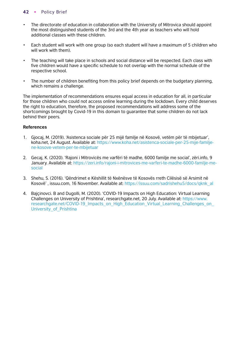- The directorate of education in collaboration with the University of Mitrovica should appoint the most distinguished students of the 3rd and the 4th year as teachers who will hold additional classes with these children.
- Each student will work with one group (so each student will have a maximum of 5 children who will work with them).
- The teaching will take place in schools and social distance will be respected. Each class with five children would have a specific schedule to not overlap with the normal schedule of the respective school.
- The number of children benefiting from this policy brief depends on the budgetary planning, which remains a challenge.

The implementation of recommendations ensures equal access in education for all, in particular for those children who could not access online learning during the lockdown. Every child deserves the right to education, therefore, the proposed recommendations will address some of the shortcomings brought by Covid-19 in this domain to guarantee that some children do not lack behind their peers.

- 1. Gjocaj, M. (2019). 'Asistenca sociale për 25 mijë familje në Kosovë, vetëm për të mbijetuar', koha.net, 24 August. Available at: [https://www.koha.net/asistenca-sociale-per-25-mije-familje](https://www.koha.net/arberi/180614/asistenca-sociale-per-25-mije-familje-ne-kosove-vetem-per-te-mbijetuar/)[ne-kosove-vetem-per-te-mbijetuar](https://www.koha.net/arberi/180614/asistenca-sociale-per-25-mije-familje-ne-kosove-vetem-per-te-mbijetuar/)
- 2. Gecaj, K. (2020). 'Rajoni i Mitrovicës me varfëri të madhe, 6000 familje me social', zëri.info, 9 January. Available at: [https://zeri.info/rajoni-i-mitrovices-me-varferi-te-madhe-6000-familje-me](https://zeri.info/aktuale/318368/rajoni-i-mitrovices-me-varferi-te-madhe-6000-familje-me-social/)[social](https://zeri.info/aktuale/318368/rajoni-i-mitrovices-me-varferi-te-madhe-6000-familje-me-social/)
- 3. Shehu, S. (2016). 'Qëndrimet e Këshillit të Nxënësve të Kosovës rreth Cilësisë së Arsimit në Kosovë' , issuu.com, 16 November. Available at: [https://issuu.com/sadrishehu5/docs/qknk\\_al](https://issuu.com/sadrishehu5/docs/qknk_al)
- 4. Bajçinovci. B and Dugolli, M. (2020). 'COVID-19 Impacts on High Education: Virtual Learning Challenges on University of Prishtina', researchgate.net, 20 July. Available at: [https://www.](https://www.researchgate.net/publication/343065744_COVID-19_Impacts_on_High_Education_Virtual_Learning_Challenges_on_University_of_Prishtina
) researchgate.net/COVID-19 Impacts on High Education Virtual Learning Challenges on University of Prishtina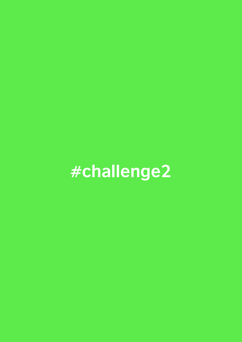# **#challenge2**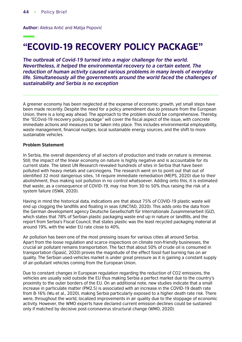**Author:** Aleksa Antić and Matija Popović

# "ECOVID-19 RECOVERY POLICY PACKAGE"

*The outbreak of Covid-19 turned into a major challenge for the world. Nevertheless, it helped the environmental recovery to a certain extent. The reduction of human activity caused various problems in many levels of everyday life. Simultaneously all the governments around the world faced the challenges of sustainability and Serbia is no exception*

A greener economy has been neglected at the expense of economic growth, yet small steps have been made recently. Despite the need for a policy amendment due to pressure from the European Union, there is a long way ahead. The approach to the problem should be comprehensive. Thereby, the "ECOvid-19 recovery policy package" will cover the fiscal aspect of the issue, with concrete immediate actions and measures to be taken into place. This includes environmental employability, waste management, financial nudges, local sustainable energy sources, and the shift to more sustainable vehicles.

#### **Problem Statement**

In Serbia, the overall dependency of all sectors of production and trade on nature is immense. Still, the impact of the linear economy on nature is highly negative and is accountable for its current state. The latest UN Research revealed hundreds of sites in Serbia that have been polluted with heavy metals and carcinogens. The research went on to point out that out of identified 32 most dangerous sites, 14 require immediate remediation (MEPS, 2020) due to their abolishment, thus making soil pollution in no control whatsoever. Adding onto this, it is estimated that waste, as a consequence of COVID-19, may rise from 30 to 50% thus raising the risk of a system failure (ISWA, 2020).

Having in mind the historical data, indications are that about 75% of COVID-19 plastic waste will end up clogging the landfills and floating in seas (UNCTAD, 2020). This adds onto the data from the German development agency Deutsche Gesellschaft für Internationale Zusammenarbeit (GIZ), which states that 78% of Serbian plastic packaging waste end up in nature or landfills, and the report from Serbia's Fiscal Council, that states plastic was the least recycled packaging material at around 19%, with the wider EU rate close to 40%.

Air pollution has been one of the most pressing issues for various cities all around Serbia. Apart from the loose regulation and scarce inspections on climate non-friendly businesses, the crucial air pollutant remains transportation. The fact that about 50% of crude oil is consumed in transportation (Spasić, 2020) proves the magnitude of the effect fossil fuel burning has on air quality. The Serbian used-vehicles market is under great pressure as it is gaining a constant supply of air-pollutant vehicles coming from the European Union.

Due to constant changes in European regulation regarding the reduction of CO2 emissions, the vehicles are usually sold outside the EU thus making Serbia a perfect market due to the country's proximity to the outer borders of the EU. On an additional note, new studies indicate that a small increase in particulate matter (PM2.5) is associated with an increase in the COVID-19 death rate from 8-16% (Wu et al., 2020), making Serbia particularly exposed to a higher death rate risk. There were, throughout the world, localized improvements in air quality due to the stoppage of economic activity. However, the WMO experts have declared current emission declines could be sustained only if matched by decisive post-coronavirus structural change (WMO, 2020).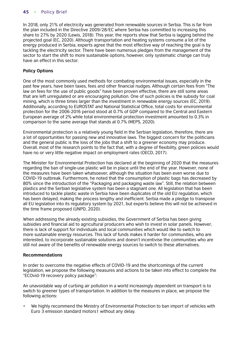In 2018, only 21% of electricity was generated from renewable sources in Serbia. This is far from the plan included in the Directive 2009/28/EC where Serbia has committed to increasing this share to 27% by 2020 (Lewis, 2018). This year, the reports show that Serbia is lagging behind the projected goal (EC, 2020). Although transportation and heating systems consume a lot of the energy produced in Serbia, experts agree that the most effective way of reaching the goal is by tackling the electricity sector. There have been numerous pledges from the management of the sector to start the shift to more sustainable options, however, only systematic change can truly have an effect in this sector.

# **Policy Options**

One of the most commonly used methods for combating environmental issues, especially in the past few years, have been taxes, fees and other financial nudges. Although certain fees from "The law on fees for the use of public goods" have been proven effective, there are still some areas that are left unregulated or are encouraging pollution. One of such policies is the subsidy for coal mining, which is three times larger than the investment in renewable energy sources (EC, 2019). Additionally, according to EUROSTAT and National Statistical Office, total costs for environmental protection for the 2006-2016 period stood at 0.7% of GDP compared to the Central and Eastern European average of 2% while total environmental protection investment amounted to 0.3% in comparison to the same average that stands at 0.7% (MEPS, 2020).

Environmental protection is a relatively young field in the Serbian legislation, therefore, there are a lot of opportunities for passing new and innovative laws. The biggest concern for the politicians and the general public is the loss of the jobs that a shift to a greener economy may produce. Overall, most of the research points to the fact that, with a degree of flexibility, green policies would have no or very little negative impact on employment rates (OECD, 2017).

The Minister for Environmental Protection has declared at the beginning of 2020 that the measures regarding the ban of single-use plastic will be in place until the end of the year. However, none of the measures have been taken whatsoever, although the situation has been even worse due to COVID-19 outbreak. Furthermore, he noted that the consumption of plastic bags has decreased by 80% since the introduction of the "Packaging and packaging waste law". Still, the relation between plastics and the Serbian legislative system has been a stagnant one. All legislation that has been introduced to tackle plastic waste in Serbia have been duplicates of the old EU regulation, which has been delayed, making the process lengthy and inefficient. Serbia made a pledge to transpose all EU legislation into its regulatory system by 2021, but experts believe this will not be achieved in the time frame proposed (UNPD, 2020).

When addressing the already existing subsidies, the Government of Serbia has been giving subsidies and financial aid to agricultural producers who wish to invest in solar panels. However, there is lack of support for individuals and local communities which would like to switch to more sustainable energy resources. This lack of funds makes it harder for communities, who are interested, to incorporate sustainable solutions and doesn't incentivise the communities who are still not aware of the benefits of renewable energy sources to switch to these alternatives.

# **Recommendations**

In order to overcome the negative effects of COVID-19 and the shortcomings of the current legislation, we propose the following measures and actions to be taken into effect to complete the "ECOvid-19 recovery policy package":

An unavoidable way of curbing air pollution in a world increasingly dependent on transport is to switch to greener types of transportation. In addition to the measures in place, we propose the following actions:

• We highly recommend the Ministry of Environmental Protection to ban import of vehicles with Euro 3 emission standard motors1 without any delay.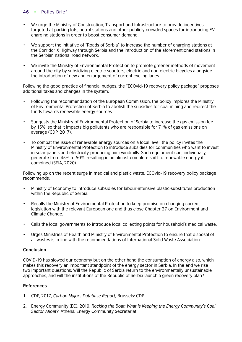- We urge the Ministry of Construction, Transport and Infrastructure to provide incentives targeted at parking lots, petrol stations and other publicly crowded spaces for introducing EV charging stations in order to boost consumer demand.
- We support the initiative of "Roads of Serbia" to increase the number of charging stations at the Corridor X Highway through Serbia and the introduction of the aforementioned stations in the Serbian national road network.
- We invite the Ministry of Environmental Protection to promote greener methods of movement around the city by subsidizing electric scooters, electric and non-electric bicycles alongside the introduction of new and enlargement of current cycling lanes.

Following the good practice of financial nudges, the "ECOvid-19 recovery policy package" proposes additional taxes and changes in the system:

- Following the recommendation of the European Commission, the policy implores the Ministry of Environmental Protection of Serbia to abolish the subsidies for coal mining and redirect the funds towards renewable energy sources.
- Suggests the Ministry of Environmental Protection of Serbia to increase the gas emission fee by 15%, so that it impacts big pollutants who are responsible for 71% of gas emissions on average (CDP, 2017).
- To combat the issue of renewable energy sources on a local level, the policy invites the Ministry of Environmental Protection to introduce subsidies for communities who want to invest in solar panels and electricity-producing mini-windmills. Such equipment can, individually, generate from 45% to 50%, resulting in an almost complete shift to renewable energy if combined (SEIA, 2020).

Following up on the recent surge in medical and plastic waste, ECOvid-19 recovery policy package recommends:

- Ministry of Economy to introduce subsidies for labour-intensive plastic-substitutes production within the Republic of Serbia.
- Recalls the Ministry of Environmental Protection to keep promise on changing current legislation with the relevant European one and thus close Chapter 27 on Environment and Climate Change.
- Calls the local governments to introduce local collecting points for household's medical waste.
- Urges Ministries of Health and Ministry of Environmental Protection to ensure that disposal of all wastes is in line with the recommendations of International Solid Waste Association.

# **Conclusion**

COVID-19 has slowed our economy but on the other hand the consumption of energy also, which makes this recovery an important standpoint of the energy sector in Serbia. In the end we rise two important questions: Will the Republic of Serbia return to the environmentally unsustainable approaches, and will the institutions of the Republic of Serbia launch a green recovery plan?

- 1. CDP, 2017, *Carbon Majors Database Report,* Brussels: CDP.
- 2. Energy Community (EC), 2019, *Rocking the Boat: What is Keeping the Energy Community's Coal Sector Afloat?*, Athens: Energy Community Secretariat.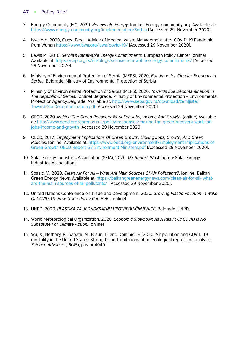- 3. Energy Community (EC), 2020. *Renewable Energy.* [online] Energy-community.org. Available at: [https://www.energy-community.org/implementation/Serbia](https://www.energy-community.org/implementation/Serbia/RE.html) [Accessed 29 November 2020].
- 4. Iswa.org, 2020, Guest Blog | Advice of Medical Waste Management after COVID 19 Pandemic from Wuhan [https://www.iswa.org/iswa/covid-19/](https://www.iswa.org/blog/guest-blog-advice-of-medical-waste-management-after-covid-19-pandemic-from-wuhan/) [Accessed 29 November 2020].
- 5. Lewis M., 2018. *Serbia's Renewable Energy Commitments,* European Policy Center [online] Available at:<https://cep.org.rs/en/blogs/serbias-renewable-energy-commitments/>[Accessed 29 November 2020].
- 6. Ministry of Environmental Protection of Serbia (MEPS), 2020, *Roadmap for Circular Economy in Serbia,* Belgrade: Ministry of Environmental Protection of Serbia
- 7. Ministry of Environmental Protection of Serbia (MEPS), 2020. *Towards Soil Decontamination In The Republic Of Serbia.* [online] Belgrade: Ministry of Environmental Protection – Environmental Protection Agency, Belgrade. Available at: http://www.sepa.gov.rs/download/zemlijste/ [TowardsSoilDecontamination.pdf](http://www.sepa.gov.rs/download/zemljiste/TowardsSoilDecontamination.pdf) [Accessed 29 November 2020].
- 8. OECD. 2020. Making The Green Recovery Work For Jobs, Income And Growth. [online] Available at: [http://www.oecd.org/coronavirus/policy-responses/making-the-green-recovery-work-for](http://www.oecd.org/coronavirus/policy-responses/making-the-green-recovery-%20work-for-jobs-income-and-growth-a505f3e7/)[jobs-income-and-growth](http://www.oecd.org/coronavirus/policy-responses/making-the-green-recovery-%20work-for-jobs-income-and-growth-a505f3e7/) [Accessed 29 November 2020].
- 9. OECD, 2017. *Employment Implications Of Green Growth: Linking Jobs, Growth, And Green Policies.* [online] Available at: [https://www.oecd.org/environment/Employment-Implications-of-](https://www.oecd.org/environment/Employment-Implications-of-Green-Growth-OECD-Report-G7-Environment-Ministers.pdf)[Green-Growth-OECD-Report-G7-Environment-Ministers.pdf](https://www.oecd.org/environment/Employment-Implications-of-Green-Growth-OECD-Report-G7-Environment-Ministers.pdf) [Accessed 29 November 2020].
- 10. Solar Energy Industries Association (SEIA), 2020, *Q3 Report,* Washington: Solar Energy Industries Association.
- 11. Spasić, V., 2020. *Clean Air For All What Are Main Sources Of Air Pollutants?*. [online] Balkan [Green Energy News. Available at: https://balkangreenenergynews.com/clean-air-for-all- what](https://balkangreenenergynews.com/clean-air-for-all-what-are-the-main-sources-of-air-pollutants/)are-the-main-sources-of-air-pollutants/ [Accessed 29 November 2020].
- 12. United Nations Conference on Trade and Development. 2020. *Growing Plastic Pollution In Wake Of COVID-19: How Trade Policy Can Help.* [online]
- 13. UNPD. 2020. *PLASTIKA ZA JEDNOKRATNU UPOTREBU-ČINJENICE,* Belgrade, UNPD.
- 14. World Meteorological Organization. 2020. *Economic Slowdown As A Result Of COVID Is No Substitute For Climate Action.* [online]
- 15. Wu, X., Nethery, R., Sabath, M., Braun, D. and Dominici, F., 2020. Air pollution and COVID-19 mortality in the United States: Strengths and limitations of an ecological regression analysis. *Science Advances,* 6(45), p.eabd4049.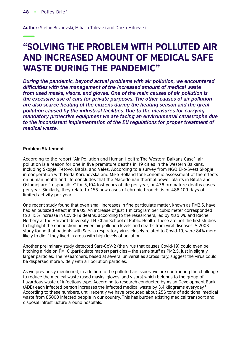**Author:** Stefan Buzhevski, Mihajlo Talevski and Darko Mitrevski

# "SOLVING THE PROBLEM WITH POLLUTED AIR AND INCREASED AMOUNT OF MEDICAL SAFE WASTE DURING THE PANDEMIC"

*During the pandemic, beyond actual problems with air pollution, we encountered*  difficulties with the management of the increased amount of medical waste *from used masks, visors, and gloves. One of the main causes of air pollution is the excessive use of cars for private purposes. The other causes of air pollution are also scarce heating of the citizens during the heating season and the great pollution caused by the industrial facilities. Due to the measures for carrying mandatory protective equipment we are facing an environmental catastrophe due to the inconsistent implementation of the EU regulations for proper treatment of medical waste.*

# **Problem Statement**

According to the report "Air Pollution and Human Health: The Western Balkans Case", air pollution is a reason for one in five premature deaths in 19 cities in the Western Balkans, including Skopje, Tetovo, Bitola, and Veles. According to a survey from NGO Eko-Svest Skopje in cooperation with Neda Korunovska and Mike Holland for Economic assessment of the effects on human health and life concludes that the Macedonian thermal power plants in Bitola and Oslomej are "responsible" for 5,104 lost years of life per year, or 476 premature deaths cases per year. Similarly, they relate to 155 new cases of chronic bronchitis or 486,109 days of limited activity per year.

One recent study found that even small increases in fine particulate matter, known as PM2.5, have had an outsized effect in the US. An increase of just 1 microgram per cubic meter corresponded to a 15% increase in Covid-19 deaths, according to the researchers, led by Xiao Wu and Rachel Nethery at the Harvard University T.H. Chan School of Public Health. These are not the first studies to highlight the connection between air pollution levels and deaths from viral diseases. A 2003 study found that patients with Sars, a respiratory virus closely related to Covid-19, were 84% more likely to die if they lived in areas with high levels of pollution.

Another preliminary study detected Sars-CoV-2 (the virus that causes Covid-19) could even be hitching a ride on PM10 (particulate matter) particles – the same stuff as PM2.5, just in slightly larger particles. The researchers, based at several universities across Italy, suggest the virus could be dispersed more widely with air pollution particles.

As we previously mentioned, in addition to the polluted air issues, we are confronting the challenge to reduce the medical waste (used masks, gloves, and visors) which belongs to the group of hazardous waste of infectious type. According to research conducted by Asian Development Bank (ADB) each infected person increases the infected medical waste by 3.4 kilograms everyday.4 According to these numbers, until recently we have produced about 256 tons of additional medical waste from 85000 infected people in our country. This has burden existing medical transport and disposal infrastructure around hospitals.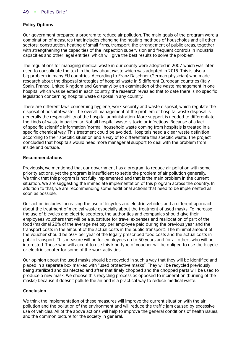# **Policy Options**

Our government prepared a program to reduce air pollution. The main goals of the program were a combination of measures that includes changing the heating methods of households and all other sectors: construction, heating of small firms, transport, the arrangement of public areas, together with strengthening the capacities of the inspection supervision and frequent controls in industrial capacities and other legal entities, which will give the best results to solve the problem.

The regulations for managing medical waste in our county were adopted in 2007 which was later used to consolidate the text in the law about waste which was adopted in 2016. This is also a big problem in many EU countries. According to Franz Daschner (German physician) who made research about the disposal strategies of hospital waste in 5 different European countries (Italy, Spain, France, United Kingdom and Germany) by an examination of the waste management in one hospital which was selected in each country, the research revealed that to date there is no specific legislation concerning hospital waste disposal in any country.

There are different laws concerning hygiene, work security and waste disposal, which regulate the disposal of hospital waste. The overall management of the problem of hospital waste disposal is generally the responsibility of the hospital administration. More support is needed to differentiate the kinds of waste in particular. Not all hospital waste is toxic or infectious. Because of a lack of specific scientific information 'normal' household waste coming from hospitals is treated in a specific chemical way. This treatment could be avoided. Hospitals need a clear waste definition according to their specific situation and a way of to differentiate this specific waste. The project concluded that hospitals would need more managerial support to deal with the problem from inside and outside.

# **Recommendations**

Previously, we mentioned that our government has a program to reduce air pollution with some priority actions, yet the program is insufficient to settle the problem of air pollution generally. We think that this program is not fully implemented and that is the main problem in the current situation. We are suggesting the immediate implementation of this program across the country. In addition to that, we are recommending some additional actions that need to be implemented as soon as possible.

Our action includes increasing the use of bicycles and electric vehicles and a different approach about the treatment of medical waste especially about the treatment of used masks. To increase the use of bicycles and electric scooters, the authorities and companies should give their employees vouchers that will be a substitute for travel expenses and reallocation of part of the food (maximal 20% of the average net pay per employee paid during the previous year and the transport costs in the amount of the actual costs in the public transport). The minimal amount of the voucher should be 50% per year of the legally prescribed food costs and the actual costs in public transport. This measure will be for employees up to 50 years and for all others who will be interested. Those who will accept to use this kind type of voucher will be obliged to use the bicycle or electric scooter for some of the work activities.

Our opinion about the used masks should be recycled in such a way that they will be identified and placed in a separate box marked with "used protective masks". They will be recycled previously being sterilized and disinfected and after that finely chopped and the chopped parts will be used to produce a new mask. We choose this recycling process as opposed to incineration (burning of the masks) because it doesn't pollute the air and is a practical way to reduce medical waste.

# **Conclusion**

We think the implementation of these measures will improve the current situation with the air pollution and the pollution of the environment and will reduce the traffic jam caused by excessive use of vehicles. All of the above actions will help to improve the general conditions of health issues, and the common picture for the society in general.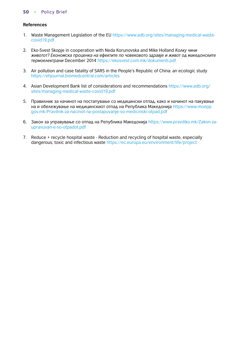- 1. Waste Management Legislation of the EU [https://www.adb.org/sites/managing-medical-waste](https://www.adb.org/sites/default/files/publication/578771/managing-medical-waste-covid19.pdf)[covid19.pdf](https://www.adb.org/sites/default/files/publication/578771/managing-medical-waste-covid19.pdf)
- 2. Eko-Svest Skopje in cooperation with Neda Korunovska and Mike Holland *Колку чини животот? Eкономска проценка на ефектите по човековото здравје и живот од македонските термоелектрани* December 201[4 https://ekosvest.com.mk/dokumenti.pdf](https://ekosvest.com.mk/wp-content/uploads/2021/03/Kolku-cini-zivotot-29.12.2014.pdf)
- 3. Air pollution and case fatality of SARS in the People's Republic of China: an ecologic study [https://ehjournal.biomedcentral.com/articles](https://ehjournal.biomedcentral.com/articles/10.1186/1476-069X-2-15)
- 4. Asian Development Bank list of considerations and recommendations [https://www.adb.org/](https://www.adb.org/sites/default/files/publication/578771/managing-medical-waste-covid19.pdf) [sites/managing-medical-waste-covid19.pdf](https://www.adb.org/sites/default/files/publication/578771/managing-medical-waste-covid19.pdf)
- 5. Правилник за начинот на постапување со медицински отпад, како и начинот на пакување [на и обележување на медицинскиот отпад на Република Македонија](https://www.moepp.gov.mk/wp-content/uploads/2014/09/Pravilnik%20za%20nacinot%20na%20postapuvanje%20so%20medicinski%20otpad.pdf) https://www.moepp. gov.mk/Pravilnik-za-nacinot-na-postapuvanje-so-medicinski-otpad.pdf
- 6. Закон за управување со отпад на Република Македонија [https://www.pravdiko.mk/Zakon-za](https://www.pravdiko.mk/wp-content/uploads/2013/11/Zakon-za-upravuvan-e-so-otpadot-24-01-2011.pdf)[upravuvan-e-so-otpadot.pdf](https://www.pravdiko.mk/wp-content/uploads/2013/11/Zakon-za-upravuvan-e-so-otpadot-24-01-2011.pdf)
- 7. Reduce + recycle hospital waste Reduction and recycling of hospital waste, especially dangerous, toxic and infectious waste [https://ec.europa.eu/environment/life/project](https://ec.europa.eu/environment/life/project/Projects/index.cfm?fuseaction=search.dspPage&n_proj_id=1113.0)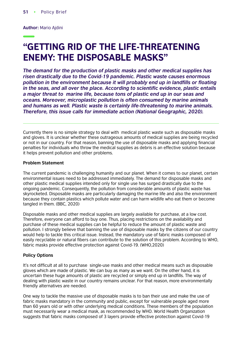**Author:** Mario Ajdini

# "GETTING RID OF THE LIFE-THREATENING ENEMY: THE DISPOSABLE MASKS"

*The demand for the production of plastic masks and other medical supplies has risen drastically due to the Covid-19 pandemic. Plastic waste causes enormous*  pollution in the environment because it will probably end up in landfills or floating in the seas, and all over the place. According to scientific evidence, plastic entails *a major threat to marine life, because tons of plastic end up in our seas and oceans. Moreover, microplastic pollution is often consumed by marine animals and humans as well. Plastic waste is certainly life-threatening to marine animals. Therefore, this issue calls for immediate action (National Geographic, 2020).*

Currently there is no simple strategy to deal with medical plastic waste such as disposable masks and gloves. It is unclear whether these outrageous amounts of medical supplies are being recycled or not in our country. For that reason, banning the use of disposable masks and applying financial penalties for individuals who throw the medical supplies as debris is an effective solution because it helps prevent pollution and other problems.

#### **Problem Statement**

The current pandemic is challenging humanity and our planet. When it comes to our planet, certain environmental issues need to be addressed immediately. The demand for disposable masks and other plastic medical supplies intended only for single use has surged drastically due to the ongoing pandemic. Consequently, the pollution from considerable amounts of plastic waste has skyrocketed. Disposable masks are particularly damaging the marine life and also the environment because they contain plastics which pollute water and can harm wildlife who eat them or become tangled in them. (BBC, 2020)

Disposable masks and other medical supplies are largely available for purchase, at a low cost. Therefore, everyone can afford to buy one. Thus, placing restrictions on the availability and purchase of these medical supplies can be helpful to reduce the amount of plastic waste and pollution. I strongly believe that banning the use of disposable masks by the citizens of our country would help to tackle this critical issue. Instead, the mandatory use of fabric masks composed of easily recyclable or natural fibers can contribute to the solution of this problem. According to WHO, fabric masks provide effective protection against Covid-19. (WHO,2020)

#### **Policy Options**

It's not difficult at all to purchase single-use masks and other medical means such as disposable gloves which are made of plastic. We can buy as many as we want. On the other hand, it is uncertain these huge amounts of plastic are recycled or simply end up in landfills. The way of dealing with plastic waste in our country remains unclear. For that reason, more environmentally friendly alternatives are needed.

One way to tackle the massive use of disposable masks is to ban their use and make the use of fabric masks mandatory in the community and public, except for vulnerable people aged more than 60 years old or with other underlying medical conditions. These members of the population must necessarily wear a medical mask, as recommended by WHO. World Health Organization suggests that fabric masks composed of 3 layers provide effective protection against Covid-19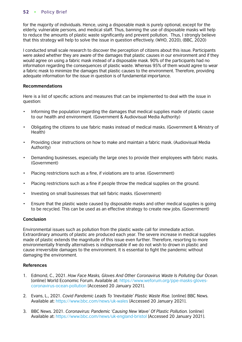for the majority of individuals. Hence, using a disposable mask is purely optional, except for the elderly, vulnerable persons, and medical staff. Thus, banning the use of disposable masks will help to reduce the amounts of plastic waste significantly and prevent pollution. Thus, I strongly believe that this strategy will help to solve the issue in question effectively. (WHO, 2020), (BBC, 2020)

I conducted small scale research to discover the perception of citizens about this issue. Participants were asked whether they are aware of the damages that plastic causes in our environment and if they would agree on using a fabric mask instead of a disposable mask. 90% of the participants had no information regarding the consequences of plastic waste. Whereas 95% of them would agree to wear a fabric mask to minimize the damages that plastic causes to the environment. Therefore, providing adequate information for the issue in question is of fundamental importance.

# **Recommendations**

Here is a list of specific actions and measures that can be implemented to deal with the issue in question:

- Informing the population regarding the damages that medical supplies made of plastic cause to our health and environment. (Government & Audiovisual Media Authority)
- Obligating the citizens to use fabric masks instead of medical masks. (Government & Ministry of Health)
- Providing clear instructions on how to make and maintain a fabric mask. (Audiovisual Media Authority)
- Demanding businesses, especially the large ones to provide their employees with fabric masks. (Government)
- Placing restrictions such as a fine, if violations are to arise. (Government)
- Placing restrictions such as a fine if people throw the medical supplies on the ground.
- Investing on small businesses that sell fabric masks. (Government)
- Ensure that the plastic waste caused by disposable masks and other medical supplies is going to be recycled. This can be used as an effective strategy to create new jobs. (Government)

#### **Conclusion**

Environmental issues such as pollution from the plastic waste call for immediate action. Extraordinary amounts of plastic are produced each year. The severe increase in medical supplies made of plastic extends the magnitude of this issue even further. Therefore, resorting to more environmentally friendly alternatives is indispensable if we do not wish to drown in plastic and cause irreversible damages to the environment. It is essential to fight the pandemic without damaging the environment.

- 1. Edmond, C., 2021. *How Face Masks, Gloves And Other Coronavirus Waste Is Polluting Our Ocean.* [online] World Economic Forum. Available at: [https://www.weforum.org/ppe-masks-gloves](https://www.weforum.org/agenda/2020/06/ppe-masks-gloves-coronavirus-ocean-pollution/)[coronavirus-ocean-pollution](https://www.weforum.org/agenda/2020/06/ppe-masks-gloves-coronavirus-ocean-pollution/) [Accessed 20 January 2021].
- 2. Evans, L., 2021. *Covid Pandemic Leads To 'Inevitable' Plastic Waste Rise.* [online] BBC News. Available at: [https://www.bbc.com/news/uk-wales](https://www.bbc.com/news/uk-wales-55408525) [Accessed 20 January 2021].
- 3. BBC News. 2021. *Coronavirus: Pandemic 'Causing New Wave' Of Plastic Pollution.* [online] Available at: [https://www.bbc.com/news/uk-england-bristol](https://www.bbc.com/news/uk-england-bristol-53947161) [Accessed 20 January 2021].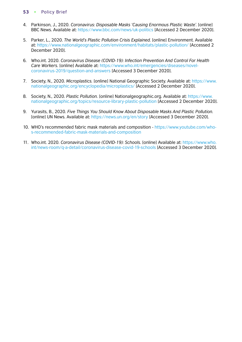- 4. Parkinson, J., 2020. *Coronavirus: Disposable Masks 'Causing Enormous Plastic Waste'.* [online] BBC News. Available at: [https://www.bbc.com/news/uk-politics](https://www.bbc.com/news/uk-politics-54057799) [Accessed 2 December 2020].
- 5. Parker, L., 2020. *The World's Plastic Pollution Crisis Explained.* [online] Environment. Available at:<https://www.nationalgeographic.com/environment/habitats/plastic-pollution/> [Accessed 2 December 2020].
- 6. Who.int. 2020. *Coronavirus Disease (COVID-19): Infection Prevention And Control For Health Care Workers.* [online] Available at: [https://www.who.int/emergencies/diseases/novel](https://www.who.int/emergencies/diseases/novel-coronavirus-2019/question-and-answers-hub/q-a-detail/coronavirus-disease-covid-19-infection-prevention-and-control-for-health-care-workers#:~:text=No.%20Disposable%20medical%20face,outbreak%2C%20click%20here)[coronavirus-2019/question-and-answers](https://www.who.int/emergencies/diseases/novel-coronavirus-2019/question-and-answers-hub/q-a-detail/coronavirus-disease-covid-19-infection-prevention-and-control-for-health-care-workers#:~:text=No.%20Disposable%20medical%20face,outbreak%2C%20click%20here) [Accessed 3 December 2020].
- 7. Society, N., 2020. *Microplastics.* [online] National Geographic Society. Available at: [https://www.](https://www.nationalgeographic.org/encyclopedia/microplastics/) [nationalgeographic.org/encyclopedia/microplastics/](https://www.nationalgeographic.org/encyclopedia/microplastics/) [Accessed 2 December 2020].
- 8. Society, N., 2020. *Plastic Pollution.* [online] Nationalgeographic.org. Available at: [https://www.](https://www.nationalgeographic.org/topics/resource-library-plastic-pollution/?q=&page=1&per_page=25) [nationalgeographic.org/topics/resource-library-plastic-pollution](https://www.nationalgeographic.org/topics/resource-library-plastic-pollution/?q=&page=1&per_page=25) [Accessed 2 December 2020].
- 9. Yurasits, B., 2020. *Five Things You Should Know About Disposable Masks And Plastic Pollution.* [online] UN News. Available at: [https://news.un.org/en/story](https://news.un.org/en/story/2020/07/1069151) [Accessed 3 December 2020].
- 10. WHO's recommended fabric mask materials and composition - [https://www.youtube.com/who](https://www.youtube.com/watch?v=XEhPyZX7WiA)[s-recommended-fabric-mask-materials-and-composition](https://www.youtube.com/watch?v=XEhPyZX7WiA)
- 11. Who.int. 2020. *Coronavirus Disease (COVID-19): Schools.* [online] Available at: [https://www.who.](https://www.who.int/news-room/q-a-detail/coronavirus-disease-covid-19-schools#:~:text=Fabric%20masks%20are%20recommended%20to,and%20disposed%20of%20properly) [int/news-room/q-a-detail/coronavirus-disease-covid-19-schools](https://www.who.int/news-room/q-a-detail/coronavirus-disease-covid-19-schools#:~:text=Fabric%20masks%20are%20recommended%20to,and%20disposed%20of%20properly) [Accessed 3 December 2020].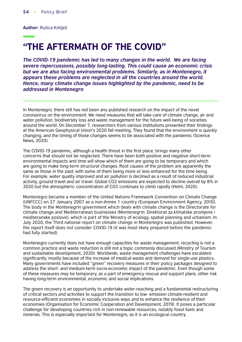**Author:** Ružica Krklješ

# "THE AFTERMATH OF THE COVID"

*The COVID-19 pandemic has led to many changes in the world. We are facing severe repercussions, possibly long-lasting. This could cause an economic crisis but we are also facing environmental problems. Similarly, as in Montenegro, it appears these problems are neglected in all the countries around the world. Hence, many climate change issues highlighted by the pandemic, need to be addressed in Montenegro* 

In Montenegro, there still has not been any published research on the impact of the novel coronavirus on the environment. We need measures that will take care of climate change, air and water pollution, biodiversity loss and waste management for the future well-being of societies around the world. On December 7, researchers from various institutions presented their findings at the American Geophysical Union's 2020 fall meeting. They found that the environment is quickly changing, and the timing of those changes seems to be associated with the pandemic (Science News, 2020).

The COVID-19 pandemic, although a health threat in the first place, brings many other concerns that should not be neglected. There have been both positive and negative short-term environmental impacts and time will show which of them are going to be temporary and which are going to make long-term structural changes. Root causes of the problem are apparently the same as those in the past; with some of them being more or less enhanced for the time being. For example, water quality improved and air pollution is declined as a result of reduced industrial activity, ground travel and air travel. Global CO2 emissions are expected to decline overall by 8% in 2020 but the atmospheric concentration of CO2 continues to climb rapidly (Helm, 2020).

Montenegro became a member of the United Nations Framework Convention on Climate Change (UNFCCC) on 27 January 2007 as a non-Annex 1 country (European Environment Agency, 2010). The body in the Montenegrin government which deals with climate change is the Directorate for climate change and Mediterranean businesses (Montenegrin: Direktorat za klimatske promjene i mediteranske poslove), which is part of the Ministry of ecology, spatial planning and urbanism. In July 2020, the Third national report on climate change in Montenegro was published. However, the report itself does not consider COVID-19 (it was most likely prepared before the pandemic had fully started).

Montenegro currently does not have enough capacities for waste management, recycling is not a common practice and waste reduction is still not a topic commonly discussed (Ministry of Tourism and sustainable development, 2020). Worldwide, waste management challenges have escalated significantly, mostly because of the increase of medical waste and demand for single-use plastics. Many governments have included ''green'' recovery measures in their policy packages designed to address the short- and medium-term socio-economic impact of the pandemic. Even though some of these measures may be temporary, as a part of emergency rescue and support plans, other risk having long-term environmental, economic and social implications.

The green recovery is an opportunity to undertake wider-reaching and a fundamental restructuring of critical sectors and activities to support the transition to low- emission climate-resilient and resource-efficient economies in socially inclusive ways and to enhance the resilience of their economies (Organisation for Economic Cooperation and Development, 2019). It poses a particular challenge for developing countries rich in non-renewable resources, notably fossil fuels and minerals. This is especially important for Montenegro, as it is an ecological country.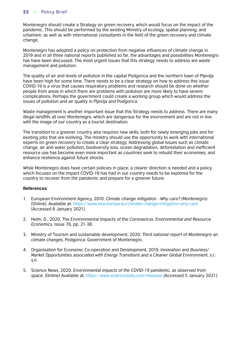Montenegro should create a Strategy on green recovery, which would focus on the impact of the pandemic. This should be performed by the existing Ministry of ecology, spatial planning, and urbanism, as well as with international consultants in the field of the green recovery and climate change.

Montenegro has adopted a policy on protection from negative influences of climate change in 2019 and in all three national reports published so far, the advantages and possibilities Montenegro has have been discussed. The most urgent issues that this strategy needs to address are waste management and pollution.

The quality of air and levels of pollution in the capital Podgorica and the northern town of Pljevlja have been high for some time. There needs to be a clear strategy on how to address this issue. COVID-19 is a virus that causes respiratory problems and research should be done on whether people from areas in which there are problems with pollution are more likely to have severe complications. Perhaps the government could create a working group which would address the issues of pollution and air quality in Pljevlja and Podgorica.

Waste management is another important issue that this Strategy needs to address. There are many illegal landfills all over Montenegro, which are dangerous for the environment and are not in line with the image of our country as a tourist destination.

The transition to a greener country also requires new skills, both for newly emerging jobs and for existing jobs that are evolving. The ministry should use the opportunity to work with international experts on green recovery to create a clear strategy. Addressing global issues such as climate change, air and water pollution, biodiversity loss, ocean degradation, deforestation and inefficient resource use has become even more important as countries seek to rebuild their economies, and enhance resilience against future shocks.

While Montenegro does have certain policies in place, a clearer direction is needed and a policy which focuses on the impact COVID-19 has had in our country needs to be explored for the country to recover from the pandemic and prepare for a greener future.

- 1. European Environment Agency, 2010. *Climate change mitigation Why care? (Montenegro).* [Online], Available at: [https://www.eea.europa.eu/climate-change-mitigation-why-care](https://www.eea.europa.eu/soer/2010/countries/me/climate-change-mitigation-why-care) [Accessed 6 January 2021].
- 2. Helm, D., 2020. The Environmental Impacts of the Coronavirus. *Environmental and Resource Economics,* Issue 76, pp. 21-38.
- 3. Ministry of Tourism and sustainable development, 2020. *Third national report of Montenegro on climate changes,* Podgorica: Government of Montenegro.
- 4. Organisation for Economic Co-operation and Development, 2019. *Innovation and Business/ Market Opportunities associated with Energy Transitions and a Cleaner Global Environment, s.l.:* s.n.
- 5. Science News, 2020. *Environmental impacts of the COVID-19 pandemic, as observed from space.* [Online] Available at: [https://www.sciencedaily.com/releases](https://www.sciencedaily.com/releases/2020/12/201208162957.htm) [Accessed 5 January 2021].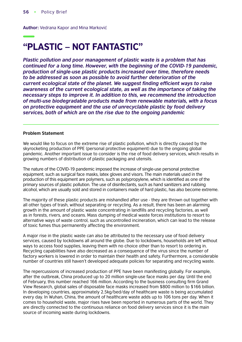**Author:** Vedrana Kapor and Mina Marković

# "PLASTIC – NOT FANTASTIC"

*Plastic pollution and poor management of plastic waste is a problem that has continued for a long time. However, with the beginning of the COVID-19 pandemic, production of single-use plastic products increased over time, therefore needs to be addressed as soon as possible to avoid further deterioration of the*  current ecological state of the planet. We suggest finding efficient ways to raise *awareness of the current ecological state, as well as the importance of taking the necessary steps to improve it. In addition to this, we recommend the introduction of multi-use biodegradable products made from renewable materials, with a focus on protective equipment and the use of unrecyclable plastic by food delivery services, both of which are on the rise due to the ongoing pandemic* 

#### **Problem Statement**

We would like to focus on the extreme rise of plastic pollution, which is directly caused by the skyrocketing production of PPE (personal protective equipment) due to the ongoing global pandemic. Another important issue to consider is the rise of food delivery services, which results in growing numbers of distribution of plastic packaging and utensils.

The nature of the COVID-19 pandemic imposed the increase of single-use personal protective equipment, such as surgical face masks, latex gloves and visors. The main materials used in the production of this equipment are polymers, such as polypropylene, which is identified as one of the primary sources of plastic pollution. The use of disinfectants, such as hand sanitizers and rubbing alcohol, which are usually sold and stored in containers made of hard plastic, has also become extreme.

The majority of these plastic products are mishandled after use - they are thrown out together with all other types of trash, without separating or recycling. As a result, there has been an alarming growth in the amount of plastic waste concentrating in landfills and recycling factories, as well as in forests, rivers, and oceans. Mass dumping of medical waste forces institutions to resort to alternative ways of waste control, such as uncontrolled incineration, which can lead to the release of toxic fumes thus permanently affecting the environment.

A major rise in the plastic waste can also be attributed to the necessary use of food delivery services, caused by lockdowns all around the globe. Due to lockdowns, households are left without ways to access food supplies, leaving them with no choice other than to resort to ordering in. Recycling capabilities have also decreased as a consequence of the virus since the number of factory workers is lowered in order to maintain their health and safety. Furthermore, a considerable number of countries still haven't developed adequate policies for separating and recycling waste.

The repercussions of increased production of PPE have been manifesting globally. For example, after the outbreak, China produced up to 20 million single-use face masks per day. Until the end of February, this number reached 166 million. According to the business consulting firm Grand View Research, global sales of disposable face masks increased from \$800 million to \$166 billion. In developing countries, approximately 2.5kg/bed/day of healthcare waste is being accumulated every day. In Wuhan, China, the amount of healthcare waste adds up to 106 tons per day. When it comes to household waste, major rises have been reported in numerous parts of the world. They are directly connected to the continuous reliance on food delivery services since it is the main source of incoming waste during lockdowns.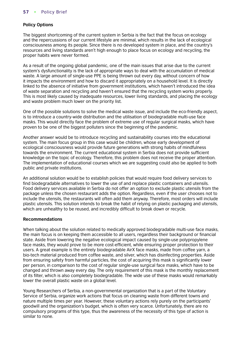# **Policy Options**

The biggest shortcoming of the current system in Serbia is the fact that the focus on ecology and the repercussions of our current lifestyle are minimal, which results in the lack of ecological consciousness among its people. Since there is no developed system in place, and the country's resources and living standards aren't high enough to place focus on ecology and recycling, the proper habits were never formed.

As a result of the ongoing global pandemic, one of the main issues that arise due to the current system's dysfunctionality is the lack of appropriate ways to deal with the accumulation of medical waste. A large amount of single-use PPE is being thrown out every day, without concern of how it impacts the environment and how to discard it appropriately on a household level. It is directly linked to the absence of initiative from government institutions, which haven't introduced the idea of waste separation and recycling and haven't ensured that the recycling system works properly. This is most likely caused by inadequate resources, lower living standards, and placing the ecology and waste problem much lower on the priority list.

One of the possible solutions to solve the medical waste issue, and include the eco-friendly aspect, is to introduce a country-wide distribution and the utilisation of biodegradable multi-use face masks. This would directly face the problem of extreme use of regular surgical masks, which have proven to be one of the biggest polluters since the beginning of the pandemic.

Another answer would be to introduce recycling and sustainability courses into the educational system. The main focus group in this case would be children, whose early development of ecological consciousness would provide future generations with strong habits of mindfulness towards the environment. The current educational system in Serbia does not provide sufficient knowledge on the topic of ecology. Therefore, this problem does not receive the proper attention. The implementation of educational courses which we are suggesting could also be applied to both public and private institutions.

An additional solution would be to establish policies that would require food delivery services to find biodegradable alternatives to lower the use of and replace plastic containers and utensils. Food delivery services available in Serbia do not offer an option to exclude plastic utensils from the package unless the chosen restaurant adds the option. Regardless, even if the user chooses not to include the utensils, the restaurants will often add them anyway. Therefore, most orders will include plastic utensils. This solution intends to break the habit of relying on plastic packaging and utensils, which are unhealthy to be reused, and incredibly difficult to break down or recycle.

#### **Recommendations**

When talking about the solution related to medically approved biodegradable multi-use face masks, the main focus is on keeping them accessible to all users, regardless their background or financial state. Aside from lowering the negative ecological impact caused by single-use polypropylene face masks, they would prove to be more cost-efficient, while ensuring proper protection to their users. A great example is the entirely biodegradable AirX face masks, made from coffee yarn, a bio-tech material produced from coffee waste, and silver, which has disinfecting properties. Aside from ensuring safety from harmful particles, the cost of acquiring this mask is significantly lower per person, in comparison to the cost of regular single-use surgical face masks, which have to be changed and thrown away every day. The only requirement of this mask is the monthly replacement of its filter, which is also completely biodegradable. The wide use of these masks would remarkably lower the overall plastic waste on a global level.

Young Researchers of Serbia, a non-governmental organization that is a part of the Voluntary Service of Serbia, organize work actions that focus on cleaning waste from different towns and nature multiple times per year. However, these voluntary actions rely purely on the participants' goodwill and the organization's budget, which is often very scarce. Unfortunately, there are no compulsory programs of this type, thus the awareness of the necessity of this type of action is similar to none.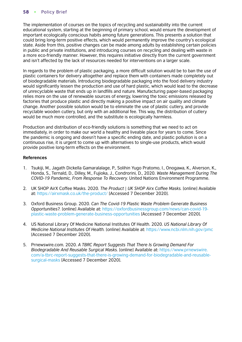The implementation of courses on the topics of recycling and sustainability into the current educational system, starting at the beginning of primary school, would ensure the development of important ecologically conscious habits among future generations. This presents a solution that could bring long-term positive effects, which would permanently improve the country's ecological state. Aside from this, positive changes can be made among adults by establishing certain policies in public and private institutions, and introducing courses on recycling and dealing with waste in a more eco-friendly manner. However, this requires initiative directly from the current government and isn't affected by the lack of resources needed for interventions on a larger scale.

In regards to the problem of plastic packaging, a more difficult solution would be to ban the use of plastic containers for delivery altogether and replace them with containers made completely out of biodegradable materials. Introducing biodegradable packaging into the food delivery industry would significantly lessen the production and use of hard plastic, which would lead to the decrease of unrecyclable waste that ends up in landfills and nature. Manufacturing paper-based packaging relies more on the use of renewable sources of energy, lowering the toxic emissions released by factories that produce plastic and directly making a positive impact on air quality and climate change. Another possible solution would be to eliminate the use of plastic cutlery, and provide recyclable wooden cutlery, but only with an additional fee. This way, the distribution of cutlery would be much more controlled, and the substitute is ecologically harmless.

Production and distribution of eco-friendly solutions is something that we need to act on immediately, in order to make our world a healthy and liveable place for years to come. Since the pandemic is ongoing and doesn't have a specific ending date, and plastic pollution is on a continuous rise, it is urgent to come up with alternatives to single-use products, which would provide positive long-term effects on the environment.

- 1. Tsukiji, M., Jagath Dickella Gamaralalage, P., Solihin Yugo Pratomo, I., Onogawa, K., Alverson, K., Honda, S., Ternald, D., Dilley, M., Fujioka, J., Condrorini, D., 2020. *Waste Management During The COVID-19 Pandemic, From Response To Recovery.* United Nations Environment Programme.
- 2. UK SHOP AirX Coffee Masks. 2020. *The Product | UK SHOP Airx Coffee Masks.* [online] Available at: <https://airxmask.co.uk/the-product/> [Accessed 7 December 2020].
- 3. Oxford Business Group. 2020. *Can The Covid-19 Plastic Waste Problem Generate Business Opportunities?.* [online] Available at: [https://oxfordbusinessgroup.com/news/can-covid-19](https://oxfordbusinessgroup.com/news/can-covid-19-plastic-waste-problem-generate-business-opportunities) [plastic-waste-problem-generate-business-opportunities](https://oxfordbusinessgroup.com/news/can-covid-19-plastic-waste-problem-generate-business-opportunities) [Accessed 7 December 2020].
- 4. US National Library Of Medicine National Institutes Of Health. 2020. *US National Library Of Medicine National Institutes Of Health.* [online] Available at: [https://www.ncbi.nlm.nih.gov/pmc](https://www.ncbi.nlm.nih.gov/pmc/articles/PMC7447614/) [Accessed 7 December 2020].
- 5. Prnewswire.com. 2020. *A TBRC Report Suggests That There Is Growing Demand For Biodegradable And Reusable Surgical Masks.* [online] Available at: [https://www.prnewswire.](https://www.prnewswire.com/news-releases/a-tbrc-report-suggests-that-there-is-growing-demand-for-biodegradable-and-reusable-surgical-masks-301064708.html) [com/a-tbrc-report-suggests-that-there-is-growing-demand-for-biodegradable-and-reusable](https://www.prnewswire.com/news-releases/a-tbrc-report-suggests-that-there-is-growing-demand-for-biodegradable-and-reusable-surgical-masks-301064708.html)[surgical-masks](https://www.prnewswire.com/news-releases/a-tbrc-report-suggests-that-there-is-growing-demand-for-biodegradable-and-reusable-surgical-masks-301064708.html) [Accessed 7 December 2020].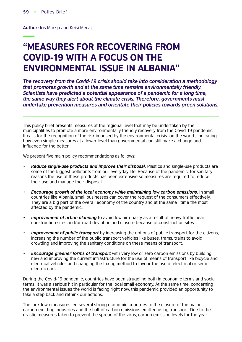**Author:** Iris Markja and Keisi Mecaj

# "MEASURES FOR RECOVERING FROM COVID-19 WITH A FOCUS ON THE ENVIRONMENTAL ISSUE IN ALBANIA"

*The recovery from the Covid-19 crisis should take into consideration a methodology that promotes growth and at the same time remains environmentally friendly. Scientists have predicted a potential appearance of a pandemic for a long time, the same way they alert about the climate crisis. Therefore, governments must undertake prevention measures and orientate their policies towards green solutions.* 

This policy brief presents measures at the regional level that may be undertaken by the municipalities to promote a more environmentally friendly recovery from the Covid-19 pandemic. It calls for the recognition of the risk imposed by the environmental crisis on the world , indicating how even simple measures at a lower level than governmental can still make a change and influence for the better.

We present five main policy recommendations as follows:

- *Reduce single-use products and improve their disposal.* Plastics and single-use products are some of the biggest pollutants from our everyday life. Because of the pandemic, for sanitary reasons the use of these products has been extensive so measures are required to reduce their use and manage their disposal.
- *Encourage growth of the local economy while maintaining low carbon emissions.* In small countries like Albania, small businesses can cover the request of the consumers effectively. They are a big part of the overall economy of the country and at the same time the most affected by the pandemic.
- *Improvement of urban planning* to avoid low air quality as a result of heavy traffic near construction sites and/or road deviation and closure because of construction sites.
- *Improvement of public transport* by increasing the options of public transport for the citizens, increasing the number of the public transport vehicles like buses, trams, trains to avoid crowding and improving the sanitary conditions on these means of transport.
- *Encourage greener forms of transport* with very low or zero carbon emissions by building new and improving the current infrastructure for the use of means of transport like bicycle and electrical vehicles and changing the taxing method to favour the use of electrical or semielectric cars.

During the Covid-19 pandemic, countries have been struggling both in economic terms and social terms. It was a serious hit in particular for the local small economy. At the same time, concerning the environmental issues the world is facing right now, this pandemic provided an opportunity to take a step back and rethink our actions.

The lockdown measures led several strong economic countries to the closure of the major carbon-emitting industries and the halt of carbon emissions emitted using transport. Due to the drastic measures taken to prevent the spread of the virus, carbon emission levels for the year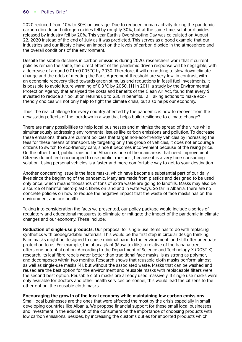2020 reduced from 10% to 30% on average. Due to reduced human activity during the pandemic, carbon dioxide and nitrogen oxides fell by roughly 30%, but at the same time, sulphur dioxides released by industry fell by 20%. This year Earth's Overshooting Day was calculated on August 22, 2020 instead of the end of July as it was predicted. This serves as a good example that our industries and our lifestyle have an impact on the levels of carbon dioxide in the atmosphere and the overall conditions of the environment.

Despite the sizable declines in carbon emissions during 2020, researchers warn that if current policies remain the same, the direct effect of the pandemic-driven response will be negligible, with a decrease of around  $0.01 \pm 0.005$  °C by 2030. Therefore, it will do nothing to slow down climate change and the odds of meeting the Paris Agreement threshold are very low. In contrast, with an economic recovery tilted towards green stimulus and reductions in fossil fuel investments, it is possible to avoid future warming of 0.3°C by 2050. [1] In 2011, a study by the Environmental Protection Agency that analysed the costs and benefits of the Clean Air Act, found that every \$1 invested to reduce air pollution returns up to \$30 in benefits. [2] Taking actions to make ecofriendly choices will not only help to fight the climate crisis, but also helps our economy.

Thus, the real challenge for every country affected by the pandemic is how to recover from the devastating effects of the lockdown in a way that helps build resilience to climate change?

There are many possibilities to help local businesses and minimize the spread of the virus while simultaneously addressing environmental issues like carbon emissions and pollution. To decrease these emissions, there are current policies that target non-eco-friendly vehicles by increasing the fees for these means of transport. By targeting only this group of vehicles, it does not encourage citizens to switch to eco-friendly cars, since it becomes inconvenient because of the rising price. On the other hand, public transport in Albania is one of the main areas that need improvement. Citizens do not feel encouraged to use public transport, because it is a very time-consuming solution. Using personal vehicles is a faster and more comfortable way to get to your destination.

Another concerning issue is the face masks, which have become a substantial part of our daily lives since the beginning of the pandemic. Many are made from plastics and designed to be used only once, which means thousands of tons of extra waste are going to landfills. Masks may also be a source of harmful micro-plastic fibres on land and in waterways. So far in Albania, there are no concrete policies on how to reduce the negative impact that the waste of face masks has on the environment and our health.

Taking into consideration the facts we presented, our policy package would include a series of regulatory and educational measures to eliminate or mitigate the impact of the pandemic in climate changes and our economy. These include:

**Reduction of single-use products.** Our proposal for single-use items has to do with replacing synthetics with biodegradable materials. This would be the first step in circular design thinking. Face masks might be designed to cause minimal harm to the environment, and still offer adequate protection to us. For example, the abaca plant (Musa textilis), a relative of the banana tree, offers one potential option. According to the Department of Science and Technology-X (DOST-X) research, its leaf fibre repels water better than traditional face masks, is as strong as polymer, and decomposes within two months. Research shows that reusable cloth masks perform almost as well as single-use masks [4], but without the associated waste. Masks that can be washed and reused are the best option for the environment and reusable masks with replaceable filters were the second-best option. Reusable cloth masks are already used massively. If single use masks were only available for doctors and other health services personnel, this would lead the citizens to the other option, the reusable cloth masks.

**Encouraging the growth of the local economy while maintaining low carbon emissions.**

Small local businesses are the ones that were affected the most by the crisis especially in small developing countries like Albania. We propose financial support for these small local businesses and investment in the education of the consumers on the importance of choosing products with low carbon emissions. Besides, by increasing the customs duties for imported products which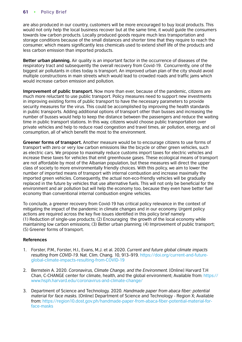are also produced in our country, customers will be more encouraged to buy local products. This would not only help the local business recover but at the same time, it would guide the consumers towards low carbon products. Locally produced goods require much less transportation and storage conditions because of the small distances and shorter time that they require to reach the consumer, which means significantly less chemicals used to extend shelf life of the products and less carbon emission than imported products.

**Better urban planning.** Air quality is an important factor in the occurrence of diseases of the respiratory tract and subsequently the overall recovery from Covid-19. Concurrently, one of the biggest air pollutants in cities today is transport. An improved urban plan of the city should avoid multiple constructions in main streets which would lead to crowded roads and traffic jams which would increase carbon emission and pollution.

**Improvement of public transport.** Now more than ever, because of the pandemic, citizens are much more reluctant to use public transport. Policy measures need to support new investments in improving existing forms of public transport to have the necessary parameters to provide security measures for the virus. This could be accomplished by improving the health standards in public transports. Adding additional options of transport other than busses and increasing the number of busses would help to keep the distance between the passengers and reduce the waiting time in public transport stations. In this way, citizens would choose public transportation over private vehicles and help to reduce road congestion and travel times, air pollution, energy, and oil consumption, all of which benefit the most to the environment.

**Greener forms of transport.** Another measure would be to encourage citizens to use forms of transport with zero or very low carbon emissions like the bicycle or other green vehicles, such as electric cars. We propose to maximally reduce customs import taxes for electric vehicles and increase these taxes for vehicles that emit greenhouse gases. These ecological means of transport are not affordable by most of the Albanian population, but these measures will direct the upper class of society to more environmentally friendly choices. With this policy, we aim to lower the number of imported means of transport with internal combustion and increase maximally the imported green vehicles. Consequently, the actual non-eco-friendly vehicles will be gradually replaced in the future by vehicles that use alternative fuels. This will not only be beneficial for the environment and air pollution but will help the economy too, because they even have better fuel economy than conventional internal combustion engine vehicles.

To conclude, a greener recovery from Covid-19 has critical policy relevance in the context of mitigating the impact of the pandemic in climate changes and in our economy. Urgent policy actions are required across the key five issues identified in this policy brief namely (1) Reduction of single-use products; (2) Encouraging the growth of the local economy while maintaining low carbon emissions; (3) Better urban planning; (4) Improvement of public transport; (5) Greener forms of transport.

- 1. Forster, P.M., Forster, H.I., Evans, M.J. et al. 2020. *Current and future global climate impacts resulting from COVID-19.* Nat. Clim. Chang. 10, 913–919. [https://doi.org/current-and-future](https://doi.org/10.1038/s41558-020-0883-0)[global-climate-impacts-resulting-from-COVID-19](https://doi.org/10.1038/s41558-020-0883-0)
- 2. Bernstein A. 2020. *Coronavirus, Climate Change, and the Environment.* [Online] Harvard T.H [Chan, C-CHANGE center for climate, health, and the global environment; Available from: https://](https://www.hsph.harvard.edu/c-change/subtopics/coronavirus-and-climate-change/) www.hsph.harvard.edu/coronavirus-and-climate-change/
- 3. Department of Science and Technology. 2020. *Handmade paper from abaca fiber: potential material for face masks.* [Online] Department of Science and Technology - Region X; Available from: [https://region10.dost.gov.ph/handmade-paper-from-abaca-fiber-potential-material-for](https://region10.dost.gov.ph/260-handmade-paper-from-abaca-fiber-potential-material-for-face-masks)[face-masks](https://region10.dost.gov.ph/260-handmade-paper-from-abaca-fiber-potential-material-for-face-masks)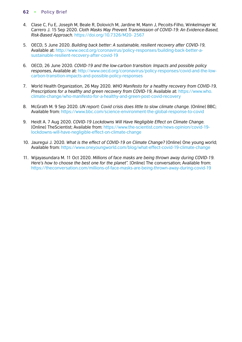- 4. Clase C, Fu E, Joseph M, Beale R, Dolovich M, Jardine M, Mann J, Pecoits-Filho, Winkelmayer W, Carrero J. 15 Sep 2020. *Cloth Masks May Prevent Transmission of COVID-19: An Evidence-Based, Risk-Based Approach.* https://doi.org/10.7326/M20- 2567
- 5. OECD, 5 June 2020. *Building back better: A sustainable, resilient recovery after COVID-19,* Available at: [http://www.oecd.org/coronavirus/policy-responses/building-back-better-a](http://www.oecd.org/coronavirus/policy-responses/building-back-%20better-a-sustainable-resilient-recovery-after-covid-19-52b869f5/)[sustainable-resilient-recovery-after-covid-19](http://www.oecd.org/coronavirus/policy-responses/building-back-%20better-a-sustainable-resilient-recovery-after-covid-19-52b869f5/)
- 6. OECD, 26 June 2020. *COVID-19 and the low-carbon transition: Impacts and possible policy responses,* Available at: [http://www.oecd.org/coronavirus/policy-responses/covid-and-the-low](http://www.oecd.org/coronavirus/policy-responses/covid-%2019-and-the-low-carbon-transition-impacts-and-possible-policy-responses-749738fc/)[carbon-transition-impacts-and-possible-policy-responses](http://www.oecd.org/coronavirus/policy-responses/covid-%2019-and-the-low-carbon-transition-impacts-and-possible-policy-responses-749738fc/)
- 7. World Health Organization, 26 May 2020. *WHO Manifesto for a healthy recovery from COVID-19, Prescriptions for a healthy and green recovery from COVID-19,* Available at: [https://www.who.](https://www.who.int/docs/default-source/climate-change/who-manifesto-for-a-healthy-and-green-post-covid-recovery.pdf?sfvrsn=f32ecfa7_8 
) [climate-change/who-manifesto-for-a-healthy-and-green-post-covid-recovery](https://www.who.int/docs/default-source/climate-change/who-manifesto-for-a-healthy-and-green-post-covid-recovery.pdf?sfvrsn=f32ecfa7_8 
)
- 8. McGrath M. 9 Sep 2020. *UN report: Covid crisis does little to slow climate change.* [Online] BBC; Available from: [https://www.bbc.com/science-environment-the-global-response-to-covid](https://www.bbc.com/news/science-environment-54074733#:~:text=The%20global%20response%20to%20Covid,to%20rise%20in%20the%20atmosphere.)
- 9. Heidt A. 7 Aug 2020. *COVID-19 Lockdowns Will Have Negligible Effect on Climate Change.* [Online] TheScientist; Available from: [https://www.the-scientist.com/news-opinion/covid-19](https://www.the-scientist.com/news-opinion/covid-19-lockdowns-will-have-negligible-effect-on-climate-change-67808#:~:text=%E2%80%9CThe%20fall%20in%20emissions%20we,new%20study%2C%20tells%20Science%20News.) [lockdowns-will-have-negligible-effect-on-climate-change](https://www.the-scientist.com/news-opinion/covid-19-lockdowns-will-have-negligible-effect-on-climate-change-67808#:~:text=%E2%80%9CThe%20fall%20in%20emissions%20we,new%20study%2C%20tells%20Science%20News.)
- 10. Jauregui J. 2020. *What is the effect of COVID-19 on Climate Change?* [Online] One young world; Available from:<https://www.oneyoungworld.com/blog/what-effect-covid-19-climate-change>
- 11. Wijayasundara M. 11 Oct 2020. *Millions of face masks are being thrown away during COVID-19. Here's how to choose the best one for the planet".* [Online] The conversation; Available from: [https://theconversation.com/millions-of-face-masks-are-being-thrown-away-during-covid-19](https://theconversation.com/millions-of-face-masks-are-being-thrown-away-during-covid-19-heres-how-to-choose-the-best-one-for-the-planet-147787)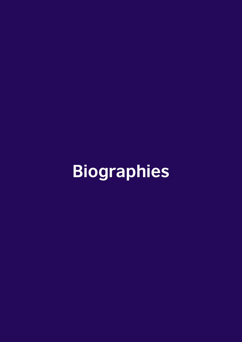# **Biographies**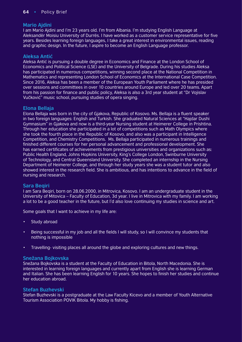# **Mario Ajdini**

I am Mario Ajdini and I'm 23 years old. I'm from Albania. I'm studying English Language at Aleksandër Moisiu University of Durrës. I have worked as a customer service representative for five years. Besides learning foreign languages, I take a great interest in environmental issues, reading and graphic design. In the future, I aspire to become an English Language professor.

# **Aleksa Antić**

Aleksa Antić is pursuing a double degree in Economics and Finance at the London School of Economics and Political Science (LSE) and the University of Belgrade. During his studies Aleksa has participated in numerous competitions, winning second place at the National Competition in Mathematics and representing London School of Economics at the International Case Competition. Since 2016, Aleksa has been a member of the European Youth Parliament where he has presided over sessions and committees in over 10 countries around Europe and led over 20 teams. Apart from his passion for finance and public policy, Aleksa is also a 3rd year student at "Dr Vojislav Vučković" music school, pursuing studies of opera singing.

# **Elona Bellaja**

Elona Bellaja was born in the city of Gjakova, Republic of Kosovo. Ms. Bellaja is a fluent speaker in two foreign languages: English and Turkish. She graduated Natural Sciences at "Hajdar Dushi Gymnasium" in Gjakova and now is a third-year Nursing student at Heimerer College in Prishtina. Through her education she participated in a lot of competitions such as Math Olympics where she took the fourth place in the Republic of Kosovo, and also was a participant in Intelligence Competition, and Chemistry Competitions. Ms. Bellaja participated in numerous trainings and finished different courses for her personal advancement and professional development. She has earned certificates of achievements from prestigious universities and organizations such as: Public Health England, Johns Hopkins University, King's College London, Swinburne University of Technology, and Central Queensland University. She completed an internship in the Nursing Department of Heimerer College, and through her study years she was a student tutor and also showed interest in the research field. She is ambitious, and has intentions to advance in the field of nursing and research.

# **Sara Beqiri**

I am Sara Beqiri, born on 28.06.2000, in Mitrovica, Kosovo. I am an undergraduate student in the University of Mitovica – Faculty of Education, 3d year. I live in Mitrovica with my family. I am working a lot to be a good teacher in the future, but I'd also love continuing my studies in science and art.

Some goals that I want to achieve in my life are:

- Study abroad
- Being successful in my job and all the fields I will study, so I will convince my students that nothing is impossible
- Travelling- visiting places all around the globe and exploring cultures and new things.

# **Snežana Bojkovska**

Snežana Bojkovska is a student at the Faculty of Education in Bitola, North Macedonia. She is interested in learning foreign languages and currently apart from English she is learning German and Italian. She has been learning English for 10 years. She hopes to finish her studies and continue her education abroad.

# **Stefan Buzhevski**

Stefan Buzhevski is a postgraduate at the Law Faculty Kicevo and a member of Youth Alternative Tourism Association POVIK Bitola. My hobby is fishing.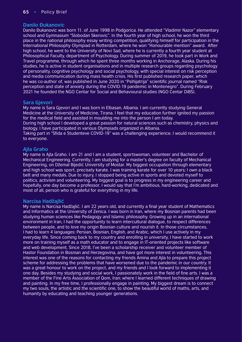# **Danilo Đukanovic**

Danilo Đukanovic was born 11. of June 1998 in Podgorica. He attended "Vladimir Nazor" elementary school and Gymnasium "Slobodan Skerovic". In the fourth year of high school, he won the third place in the national philosophy essay writing competition, qualifying himself for participation in the International Philosophy Olympiad in Rotterdam, where he won "Honourable mention" award. After high school, he went to the University of Novi Sad, where he is currently a fourth year student at Philosophical Faculty, department of Psychology. During summer of 2019, he took part in Work and Travel programme, through which he spent three months working in Anchorage, Alaska. During his studies, he is active in student organisations and in multiple research groups regarding psychology of personality, cognitive psychology and social psychology, with special interest on risk perception and media communication during mass health crisis. His first published research paper, which he was co-author of, was published in June 2020 in "Psihijatrija" scientific journal named "Risk perception and state of anxiety during the COVID-19 pandemic in Montenegro". During February 2021 he founded the NGO Centar for Social and Behavioural studies (NGO Centar DiBS).

# **Sara Gjevori**

My name is Sara Gjevori and I was born in Elbasan, Albania. I am currently studying General Medicine at the University of Medicine, Tirana. I feel that my education further ignited my passion for the medical field and assisted in moulding me into the person I am today.

During high school I developed a great passion for natural sciences such as chemistry, physics and biology. I have participated in various Olympiads organized in Albania.

Taking part in "Sfida e Studenteve COVID-19" was a challenging experience. I would recommend it to everyone.

# **Ajla Graho**

My name is Ajla Graho. I am 21 and I am a student, sportswoman, volunteer and Bachelor of Mechanical Engineering. Currently, I am studying for a master's degree on faculty of Mechanical Engineering, on Džemal Bijedić University of Mostar. My biggest occupation through elementary and high school was sport, precisely karate. I was training karate for over 10 years; I own a black belt and many medals. Due to injury, I stopped being active in sports and devoted myself to politics, activism and volunteering. My biggest goal is to progress in my engineering career and hopefully, one day become a professor. I would say that I'm ambitious, hard-working, dedicated and most of all, person who is grateful for everything in my life.

# **Narcisa Hadžajlić**

My name is Narcisa Hadžajlić. I am 22 years old, and currently a final year student of Mathematics and Informatics at the University of Zenica. I was born in Iran, where my Bosnian parents had been studying human sciences like Pedagogy and Islamic philosophy. Growing up in an international environment in Iran, I had the opportunity to learn intercultural dialogue, to respect differences between people, and to love my origin Bosnian culture and nourish it. In those circumstances, I had to learn 4 languages: Persian, Bosnian, English, and Arabic, which I use actively in my everyday life. Since coming back to my country and enrolling in university, I have started to work more on training myself as a math educator and to engage in IT-oriented projects like software and web development. Since 2018, I've been a scholarship receiver and volunteer member of Hastor Foundation in Bosnian and Herzegovina, and have got more interest in volunteering. This interest was one of the reasons for contacting my friends Amina and Ajla to prepare this project scheme for addressing the problems that have worsened due to the pandemic in our country. It was a great honour to work on the project, and my friends and I look forward to implementing it one day. Besides my studying and social work, I passionately work in the field of fine arts. I was a member of the Fine Arts Association of Qom, Iran; where I learned different techniques of drawing and painting. In my free time, I professionally engage in painting. My biggest dream is to connect my two souls, the artistic and the scientific one, to show the beautiful world of maths, arts, and humanity by educating and teaching younger generations.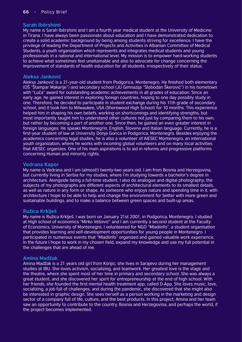# **Sarah Ibërshimi**

My name is Sarah Ibërshimi and I am a fourth year medical student at the University of Medicine in Tirana. I have always been passionate about education and I have demonstrated dedication to create a solid academic background by being among students striving for excellence. I have the privilege of leading the Department of Projects and Activities in Albanian Committee of Medical Students, a youth organization which represents and integrates medical students and young professionals in a national and international level. My mission is to empower hard-working students to achieve what sometimes feel unattainable and also to advocate for change concerning the improvement of standards of health education for all students, irrespectively of their status.

# **Aleksa Janković**

Aleksa Janković is a 21-year-old student from Podgorica, Montenegro. He finished both elementary (OŠ "Štampar Makarije") and secondary school (JU Gimnazija "Slobodan Škerović") in his hometown with "Luča" award for outstanding academic achievements in all grades of education. Since an early age, he gained interest in exploring foreign countries, hoping to one day possibly study in one. Therefore, he decided to participate in student exchange during his 11th grade of secondary school, and it took him to Milwaukee, USA (Shorewood High School) for 10 months. This experience helped him in shaping his own beliefs, working on shortcomings and identifying strengths, but most importantly taught him to understand other cultures not just by comparing them to his own, but rather by becoming a part of another one. Since then, he gained an even greater interest in foreign languages. He speaks Montenegrin, English, Slovene and Italian language. Currently, he is a first-year student of law at University Donja Gorica in Podgorica, Montenegro. Besides enjoying the academics concerning legal studies, he is also a volunteer of AIESEC Montenegro, an international youth organization, where he works with incoming global volunteers and on many local activities that AIESEC organizes. One of his main aspirations is to aid in reforms and progressive platforms concerning Human and minority rights.

# **Vedrana Kapor**

My name is Vedrana and I am (almost!) twenty-two years old. I am from Bosnia and Herzegovina, but currently living in Serbia for my studies, where I'm studying towards a bachelor's degree in architecture. Alongside being a full-time student, I also do analogue and digital photography; the subjects of my photographs are different aspects of architectural elements to its smallest details, as well as nature in any form or shape. As someone who enjoys nature and spending time in it, with architecture I hope to be able to help and change the environment for better with more green and sustainable buildings, and to make a balance between green spaces and built-up areas.

# **Ružica Krklješ**

My name is Ružica Krklješ. I was born on January 21st 2001, in Podgorica, Montenegro. I studied at High school of economics "Mirko Vešović" and I am currently a second student at the Faculty of Economics, University of Montenegro. I volunteered for NGO "Mladiinfo", a student organisation that provides learning and self-development opportunities for young people in Montenegro. I participated in numerous events that "Mladiinfo" organized and gained valuable work experience. In the future I hope to work in my chosen field, expand my knowledge and use my full potential in the challenges that are ahead of me.

# **Amina Madžak**

Amina Madžak is a 21 years old girl from Konjic; she lives in Sarajevo during her management studies at IBU. She loves activism, socializing, and teamwork. Her greatest love is the stage and the theatre, where she spent most of her time in primary and secondary school. She was always a great student, and she discovered her spirit for entrepreneurship at the end of high school. With her friends, she founded the first mental health treatment app, called D-App. She loves music, love, socializing, a job full of challenges, and during the pandemic, she discovered that she might also be interested in graphic design. She sees herself as a person working in the marketing and design sector of a company full of life, culture, and the best products. In this project, Amina and her team saw an opportunity to contribute to the country, Bosnia and Herzegovina, and perhaps the world, if the project becomes implemented.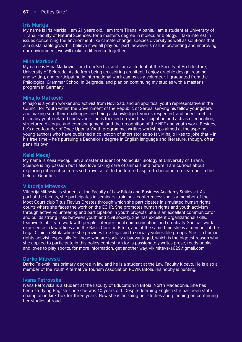### **Iris Markja**

My name is Iris Markja. I am 21 years old. I am from Tirana, Albania. I am a student at University of Tirana, Faculty of Natural Sciences, for a master's degree in molecular biology. I take interest in issues concerning the environment like climate change, species diversity as well as solutions that aim sustainable growth. I believe if we all play our part, however small, in protecting and improving our environment, we will make a difference together.

### **Mina Marković**

My name is Mina Marković, I am from Serbia, and I am a student at the Faculty of Architecture, University of Belgrade. Aside from being an aspiring architect, I enjoy graphic design, reading and writing, and participating in international work camps as a volunteer. I graduated from the Philological Grammar School in Belgrade, and plan on continuing my studies with a master's program in Germany.

# **Mihajlo Matković**

Mihajlo is a youth worker and activist from Novi Sad, and an apolitical youth representative in the Council for Youth within the Government of the Republic of Serbia, serving his fellow youngsters and making sure their challenges are being acknowledged, voices respected, and needs met. In his many youth-related endeavours, he is focused on youth participation and activism, education, structured dialogue and co-management, and the recognition of the NFE and youth work. Besides, he's a co-founder of Once Upon a Youth programme, writing workshops aimed at the aspiring young authors who have published a collection of short stories so far. Mihajlo likes to joke that – in his free time – he's pursuing a Bachelor's degree in English language and literature; though, often, pens his own.

### **Keisi Mecaj**

My name is Keisi Mecaj. I am a master student of Molecular Biology at University of Tirana. Science is my passion but I also love taking care of animals and nature. I am curious about exploring different cultures so I travel a lot. In the future I aspire to become a researcher in the field of Genetics.

### **Viktorija Mitevska**

Viktorija Mitevska is student at the Faculty of Law Bitola and Business Academy Smilevski. As part of the faculty, she participates in seminars, trainings, conferences; she is a member of the Moot Court club Titus Flavius Orestes through which she participates in simulated human rights courts where she faces the work on the ECHR. She promotes human rights and youth activism through active volunteering and participation in youth projects. She is an excellent communicator and builds strong links between youth and civil society. She has excellent organizational skills, teamwork, ability to work with people, interpersonal communication, and creativity. She has work experience in law offices and the Basic Court in Bitola, and at the same time she is a member of the Legal Clinic in Bitola where she provides free legal aid to socially vulnerable groups. She is a human rights activist, especially for those who are socially disadvantaged, which is the biggest reason why she applied to participate in this policy contest. Viktorija passionately writes prose, reads books and loves to play sports, for more information, get another way, vikimitevska629@gmail.com

#### **Darko Mitrevski**

Darko Talevski has primary degree in law and he is a student at the Law Faculty Kicevo. He is also a member of the Youth Alternative Tourism Association POVIK Bitola. His hobby is hunting.

#### **Ivana Petrovska**

Ivana Petrovska is a student at the Faculty of Education in Bitola, North Macedonia. She has been studying English since she was 10 years old. Despite learning English she has been state champion in kick-box for three years. Now she is finishing her studies and planning on continuing her studies abroad.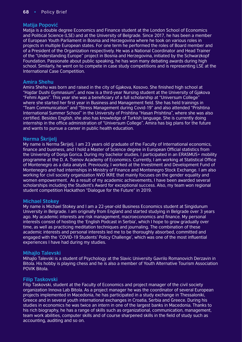# **Matija Popović**

Matija is a double degree Economics and Finance student at the London School of Economics and Political Science (LSE) and at the University of Belgrade. Since 2017, he has been a member of European Youth Parliament in Bosnia and Herzegovina where he took on various roles in projects in multiple European states. For one term he performed the roles of Board member and of a President of the Organization respectively. He was a National Coordinator and Head Trainer of the "Understanding Europe" project in Bosnia and Herzegovina, initiated by the Schwarzkopf Foundation. Passionate about public speaking, he has won many debating awards during high school. Similarly, he went on to compete in case study competitions and is representing LSE at the International Case Competition.

### **Amira Shehu**

Amira Shehu was born and raised in the city of Gjakova, Kosovo. She finished high school at "Hajdar Dushi Gymnasium", and now is a third-year Nursing student at the University of Gjakova "Fehmi Agani". This year she was a beneficiary of a full scholarship at "Universum College" where she started her first year in Business and Management field. She has held trainings in "Team Communication" and "Stress Management during Covid-19" and also attended "Prishtina International Summer School" in the University of Prishtina "Hasan Prishtina", where she was also certified. Besides English, she also has knowledge of Turkish language. She is currently doing internship in the office administration of "Universum College". Amira has big plans for the future and wants to pursue a career in public health education.

# **Nerma Škrijelj**

My name is Nerma Škrijelj. I am 23 years old graduate of the Faculty of International economics, finance and business, and I hold a Master of Science degree in European Official statistics from the University of Donja Gorica. During my bachelor studies, I participated in an ERASMUS+ mobility programme at the D. A. Tsenov Academy of Economics. Currently, I am working at Statistical Office of Montenegro as a data analyst. Previously, I worked at the Investment and Development Fund of Montenegro and had internships in Ministry of Finance and Montenegro Stock Exchange. I am also working for civil society organization NVO IKRE that mainly focuses on the gender equality and women empowerment. As a result of my academic achievements, I have been awarded several scholarships including the Student's Award for exceptional success. Also, my team won regional student competition Hackathon "Dialogue for the Future" in 2019.

# **Michael Stokey**

My name is Michael Stokey and I am a 22-year-old Business Economics student at Singidunum University in Belgrade. I am originally from England and started studying in Belgrade over 3 years ago. My academic interests are risk management, macroeconomics and finance. My personal interests consist of hosting the 'English Podcast in Serbia', which I hope to grow gradually over time, as well as practicing meditation techniques and journaling. The combination of these academic interests and personal interests led me to be thoroughly absorbed, committed and engaged with the 'COVID-19 Students' Policy Challenge', which was one of the most influential experiences I have had during my studies.

# **Mihajlo Talevski**

Mihajlo Talevski is a student of Psychology at the Slavic University Gavrilo Romanovich Derzavin in Bitola. His hobby is playing chess and he is also a member of Youth Alternative Tourism Association POVIK Bitola.

#### **Filip Taskovski**

Filip Taskovski, student at the Faculty of Economics and project manager of the civil society organization Innova Lab Bitola. As a project manager he was the coordinator of several European projects implemented in Macedonia, he has participated in a study exchange in Thessaloniki, Greece and in several youth international exchanges in Croatia, Serbia and Greece. During his studies in economics he was twice an intern in one of the largest banks in Macedonia. Thanks to his rich biography, he has a range of skills such as organizational, communication, management, team work abilities, computer skills and of course sharpened skills in the field of study such as accounting, auditing and so on.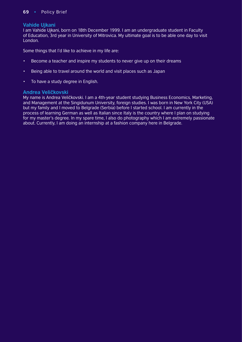# **Vahide Ujkani**

I am Vahide Ujkani, born on 18th December 1999. I am an undergraduate student in Faculty of Education, 3rd year in University of Mitrovica. My ultimate goal is to be able one day to visit London.

Some things that I'd like to achieve in my life are:

- Become a teacher and inspire my students to never give up on their dreams
- Being able to travel around the world and visit places such as Japan
- To have a study degree in English.

### **Andrea Veličkovski**

My name is Andrea Veličkovski. I am a 4th-year student studying Business Economics, Marketing, and Management at the Singidunum University, foreign studies. I was born in New York City (USA) but my family and I moved to Belgrade (Serbia) before I started school. I am currently in the process of learning German as well as Italian since Italy is the country where I plan on studying for my master's degree. In my spare time, I also do photography which I am extremely passionate about. Currently, I am doing an internship at a fashion company here in Belgrade.